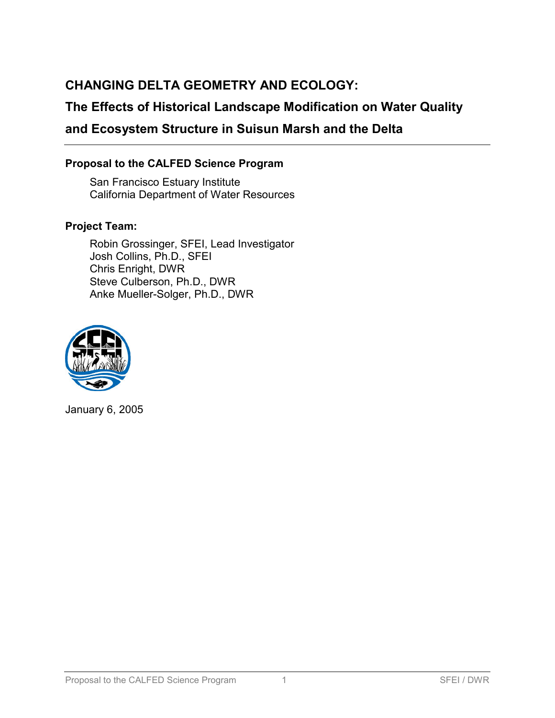# **CHANGING DELTA GEOMETRY AND ECOLOGY:**

## **The Effects of Historical Landscape Modification on Water Quality**

## **and Ecosystem Structure in Suisun Marsh and the Delta**

#### **Proposal to the CALFED Science Program**

San Francisco Estuary Institute California Department of Water Resources

#### **Project Team:**

Robin Grossinger, SFEI, Lead Investigator Josh Collins, Ph.D., SFEI Chris Enright, DWR Steve Culberson, Ph.D., DWR Anke Mueller-Solger, Ph.D., DWR



January 6, 2005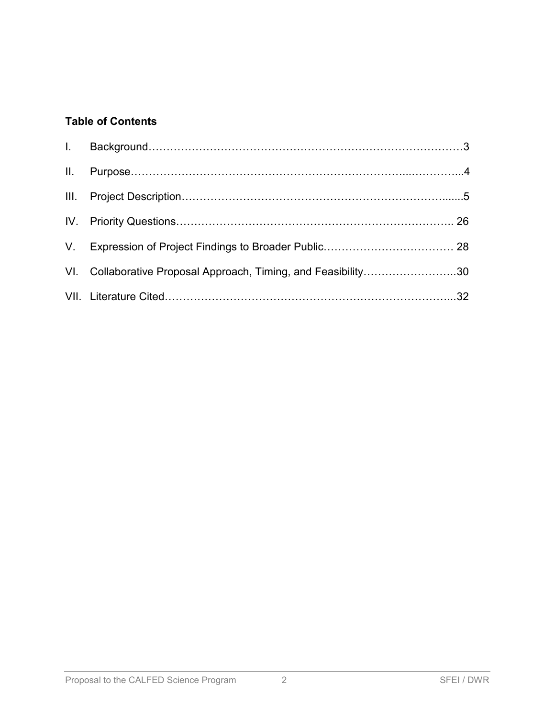## **Table of Contents**

| VI. Collaborative Proposal Approach, Timing, and Feasibility30 |  |
|----------------------------------------------------------------|--|
|                                                                |  |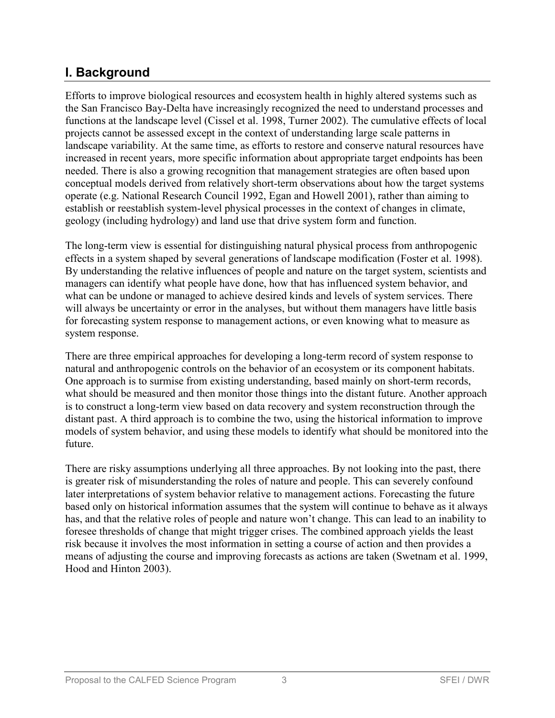## **I. Background**

Efforts to improve biological resources and ecosystem health in highly altered systems such as the San Francisco Bay-Delta have increasingly recognized the need to understand processes and functions at the landscape level (Cissel et al. 1998, Turner 2002). The cumulative effects of local projects cannot be assessed except in the context of understanding large scale patterns in landscape variability. At the same time, as efforts to restore and conserve natural resources have increased in recent years, more specific information about appropriate target endpoints has been needed. There is also a growing recognition that management strategies are often based upon conceptual models derived from relatively short-term observations about how the target systems operate (e.g. National Research Council 1992, Egan and Howell 2001), rather than aiming to establish or reestablish system-level physical processes in the context of changes in climate, geology (including hydrology) and land use that drive system form and function.

The long-term view is essential for distinguishing natural physical process from anthropogenic effects in a system shaped by several generations of landscape modification (Foster et al. 1998). By understanding the relative influences of people and nature on the target system, scientists and managers can identify what people have done, how that has influenced system behavior, and what can be undone or managed to achieve desired kinds and levels of system services. There will always be uncertainty or error in the analyses, but without them managers have little basis for forecasting system response to management actions, or even knowing what to measure as system response.

There are three empirical approaches for developing a long-term record of system response to natural and anthropogenic controls on the behavior of an ecosystem or its component habitats. One approach is to surmise from existing understanding, based mainly on short-term records, what should be measured and then monitor those things into the distant future. Another approach is to construct a long-term view based on data recovery and system reconstruction through the distant past. A third approach is to combine the two, using the historical information to improve models of system behavior, and using these models to identify what should be monitored into the future.

There are risky assumptions underlying all three approaches. By not looking into the past, there is greater risk of misunderstanding the roles of nature and people. This can severely confound later interpretations of system behavior relative to management actions. Forecasting the future based only on historical information assumes that the system will continue to behave as it always has, and that the relative roles of people and nature won't change. This can lead to an inability to foresee thresholds of change that might trigger crises. The combined approach yields the least risk because it involves the most information in setting a course of action and then provides a means of adjusting the course and improving forecasts as actions are taken (Swetnam et al. 1999, Hood and Hinton 2003).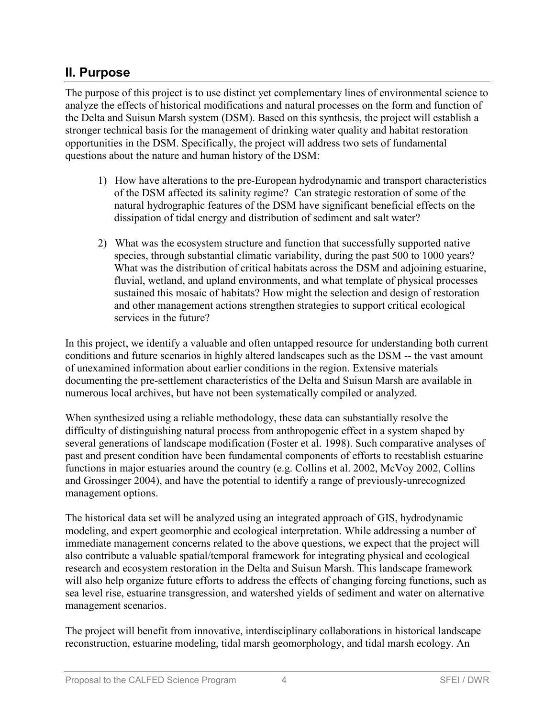## **II. Purpose**

The purpose of this project is to use distinct yet complementary lines of environmental science to analyze the effects of historical modifications and natural processes on the form and function of the Delta and Suisun Marsh system (DSM). Based on this synthesis, the project will establish a stronger technical basis for the management of drinking water quality and habitat restoration opportunities in the DSM. Specifically, the project will address two sets of fundamental questions about the nature and human history of the DSM:

- 1) How have alterations to the pre-European hydrodynamic and transport characteristics of the DSM affected its salinity regime? Can strategic restoration of some of the natural hydrographic features of the DSM have significant beneficial effects on the dissipation of tidal energy and distribution of sediment and salt water?
- 2) What was the ecosystem structure and function that successfully supported native species, through substantial climatic variability, during the past 500 to 1000 years? What was the distribution of critical habitats across the DSM and adjoining estuarine, fluvial, wetland, and upland environments, and what template of physical processes sustained this mosaic of habitats? How might the selection and design of restoration and other management actions strengthen strategies to support critical ecological services in the future?

In this project, we identify a valuable and often untapped resource for understanding both current conditions and future scenarios in highly altered landscapes such as the DSM -- the vast amount of unexamined information about earlier conditions in the region. Extensive materials documenting the pre-settlement characteristics of the Delta and Suisun Marsh are available in numerous local archives, but have not been systematically compiled or analyzed.

When synthesized using a reliable methodology, these data can substantially resolve the difficulty of distinguishing natural process from anthropogenic effect in a system shaped by several generations of landscape modification (Foster et al. 1998). Such comparative analyses of past and present condition have been fundamental components of efforts to reestablish estuarine functions in major estuaries around the country (e.g. Collins et al. 2002, McVoy 2002, Collins and Grossinger 2004), and have the potential to identify a range of previously-unrecognized management options.

The historical data set will be analyzed using an integrated approach of GIS, hydrodynamic modeling, and expert geomorphic and ecological interpretation. While addressing a number of immediate management concerns related to the above questions, we expect that the project will also contribute a valuable spatial/temporal framework for integrating physical and ecological research and ecosystem restoration in the Delta and Suisun Marsh. This landscape framework will also help organize future efforts to address the effects of changing forcing functions, such as sea level rise, estuarine transgression, and watershed yields of sediment and water on alternative management scenarios.

The project will benefit from innovative, interdisciplinary collaborations in historical landscape reconstruction, estuarine modeling, tidal marsh geomorphology, and tidal marsh ecology. An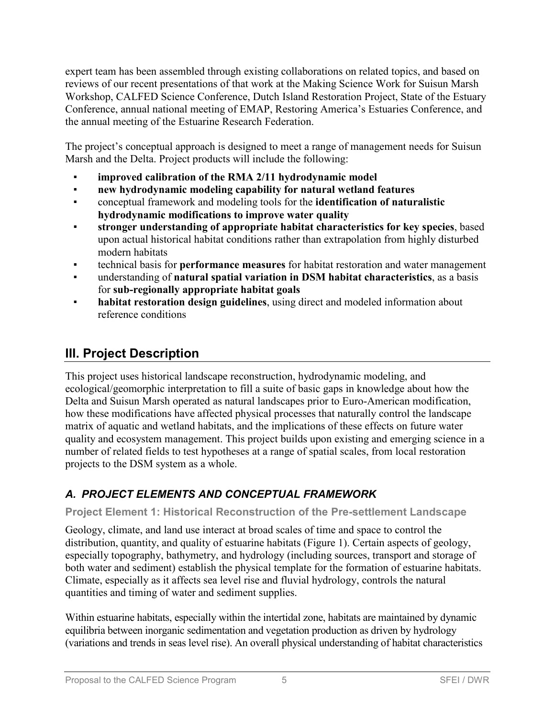expert team has been assembled through existing collaborations on related topics, and based on reviews of our recent presentations of that work at the Making Science Work for Suisun Marsh Workshop, CALFED Science Conference, Dutch Island Restoration Project, State of the Estuary Conference, annual national meeting of EMAP, Restoring America's Estuaries Conference, and the annual meeting of the Estuarine Research Federation.

The project's conceptual approach is designed to meet a range of management needs for Suisun Marsh and the Delta. Project products will include the following:

- improved calibration of the RMA 2/11 hydrodynamic model
- @ **new hydrodynamic modeling capability for natural wetland features**
- @ conceptual framework and modeling tools for the **identification of naturalistic hydrodynamic modifications to improve water quality**
- @ **stronger understanding of appropriate habitat characteristics for key species**, based upon actual historical habitat conditions rather than extrapolation from highly disturbed modern habitats
- @ technical basis for **performance measures** for habitat restoration and water management
- @ understanding of **natural spatial variation in DSM habitat characteristics**, as a basis for **sub-regionally appropriate habitat goals**
- habitat restoration design guidelines, using direct and modeled information about reference conditions

# **III. Project Description**

This project uses historical landscape reconstruction, hydrodynamic modeling, and ecological/geomorphic interpretation to fill a suite of basic gaps in knowledge about how the Delta and Suisun Marsh operated as natural landscapes prior to Euro-American modification, how these modifications have affected physical processes that naturally control the landscape matrix of aquatic and wetland habitats, and the implications of these effects on future water quality and ecosystem management. This project builds upon existing and emerging science in a number of related fields to test hypotheses at a range of spatial scales, from local restoration projects to the DSM system as a whole.

## *A. PROJECT ELEMENTS AND CONCEPTUAL FRAMEWORK*

## **Project Element 1: Historical Reconstruction of the Pre-settlement Landscape**

Geology, climate, and land use interact at broad scales of time and space to control the distribution, quantity, and quality of estuarine habitats (Figure 1). Certain aspects of geology, especially topography, bathymetry, and hydrology (including sources, transport and storage of both water and sediment) establish the physical template for the formation of estuarine habitats. Climate, especially as it affects sea level rise and fluvial hydrology, controls the natural quantities and timing of water and sediment supplies.

Within estuarine habitats, especially within the intertidal zone, habitats are maintained by dynamic equilibria between inorganic sedimentation and vegetation production as driven by hydrology (variations and trends in seas level rise). An overall physical understanding of habitat characteristics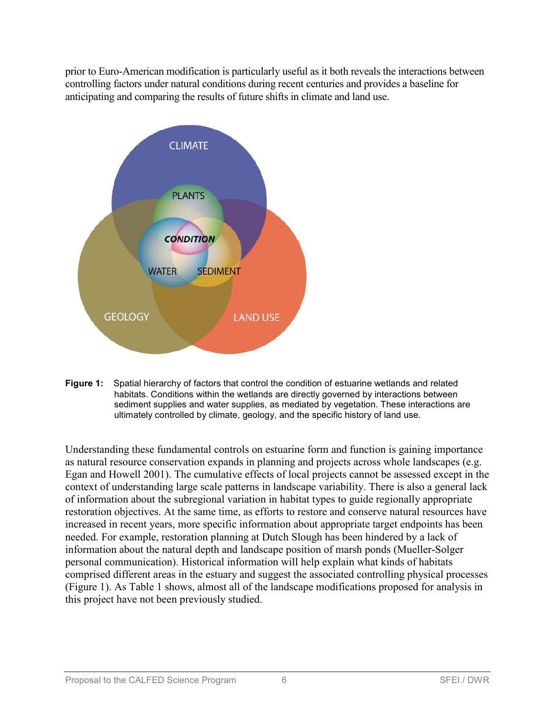prior to Euro-American modification is particularly useful as it both reveals the interactions between controlling factors under natural conditions during recent centuries and provides a baseline for anticipating and comparing the results of future shifts in climate and land use.



**Figure 1:** Spatial hierarchy of factors that control the condition of estuarine wetlands and related habitats. Conditions within the wetlands are directly governed by interactions between sediment supplies and water supplies, as mediated by vegetation. These interactions are ultimately controlled by climate, geology, and the specific history of land use.

Understanding these fundamental controls on estuarine form and function is gaining importance as natural resource conservation expands in planning and projects across whole landscapes (e.g. Egan and Howell 2001). The cumulative effects of local projects cannot be assessed except in the context of understanding large scale patterns in landscape variability. There is also a general lack of information about the subregional variation in habitat types to guide regionally appropriate restoration objectives. At the same time, as efforts to restore and conserve natural resources have increased in recent years, more specific information about appropriate target endpoints has been needed. For example, restoration planning at Dutch Slough has been hindered by a lack of information about the natural depth and landscape position of marsh ponds (Mueller-Solger personal communication). Historical information will help explain what kinds of habitats comprised different areas in the estuary and suggest the associated controlling physical processes (Figure 1). As Table 1 shows, almost all of the landscape modifications proposed for analysis in this project have not been previously studied.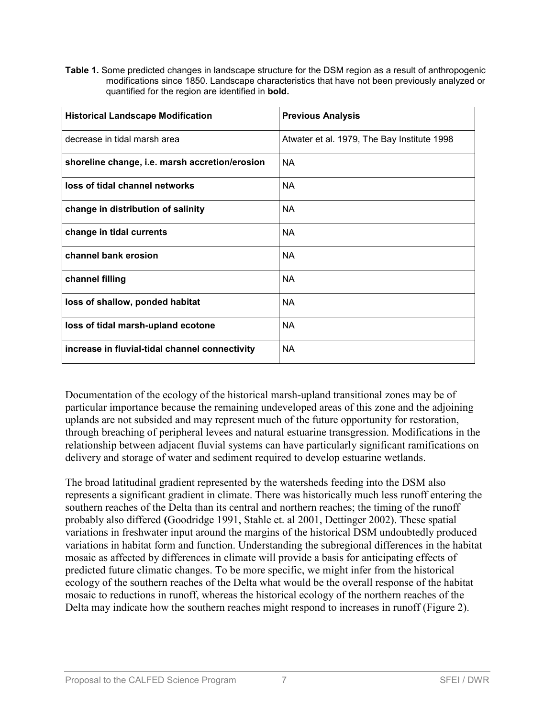**Table 1.** Some predicted changes in landscape structure for the DSM region as a result of anthropogenic modifications since 1850. Landscape characteristics that have not been previously analyzed or quantified for the region are identified in **bold.** 

| <b>Historical Landscape Modification</b>       | <b>Previous Analysis</b>                    |
|------------------------------------------------|---------------------------------------------|
| decrease in tidal marsh area                   | Atwater et al. 1979, The Bay Institute 1998 |
| shoreline change, i.e. marsh accretion/erosion | <b>NA</b>                                   |
| loss of tidal channel networks                 | <b>NA</b>                                   |
| change in distribution of salinity             | <b>NA</b>                                   |
| change in tidal currents                       | <b>NA</b>                                   |
| channel bank erosion                           | <b>NA</b>                                   |
| channel filling                                | <b>NA</b>                                   |
| loss of shallow, ponded habitat                | <b>NA</b>                                   |
| loss of tidal marsh-upland ecotone             | <b>NA</b>                                   |
| increase in fluvial-tidal channel connectivity | <b>NA</b>                                   |

Documentation of the ecology of the historical marsh-upland transitional zones may be of particular importance because the remaining undeveloped areas of this zone and the adjoining uplands are not subsided and may represent much of the future opportunity for restoration, through breaching of peripheral levees and natural estuarine transgression. Modifications in the relationship between adjacent fluvial systems can have particularly significant ramifications on delivery and storage of water and sediment required to develop estuarine wetlands.

The broad latitudinal gradient represented by the watersheds feeding into the DSM also represents a significant gradient in climate. There was historically much less runoff entering the southern reaches of the Delta than its central and northern reaches; the timing of the runoff probably also differed **(**Goodridge 1991, Stahle et. al 2001, Dettinger 2002). These spatial variations in freshwater input around the margins of the historical DSM undoubtedly produced variations in habitat form and function. Understanding the subregional differences in the habitat mosaic as affected by differences in climate will provide a basis for anticipating effects of predicted future climatic changes. To be more specific, we might infer from the historical ecology of the southern reaches of the Delta what would be the overall response of the habitat mosaic to reductions in runoff, whereas the historical ecology of the northern reaches of the Delta may indicate how the southern reaches might respond to increases in runoff (Figure 2).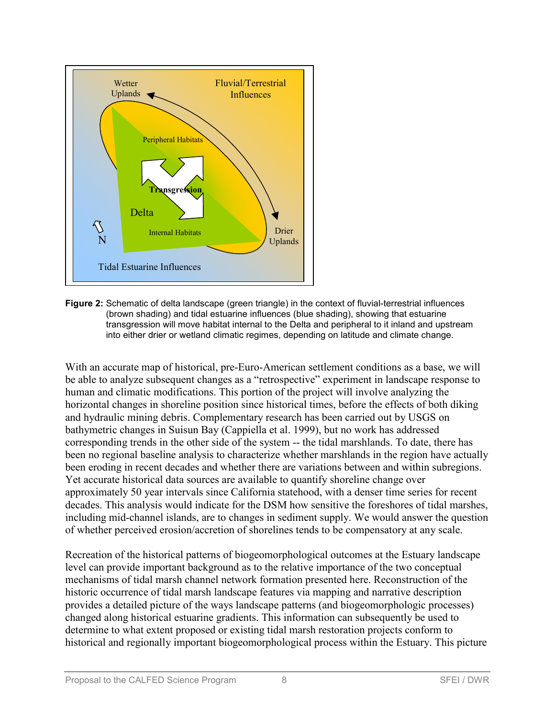

**Figure 2:** Schematic of delta landscape (green triangle) in the context of fluvial-terrestrial influences (brown shading) and tidal estuarine influences (blue shading), showing that estuarine transgression will move habitat internal to the Delta and peripheral to it inland and upstream into either drier or wetland climatic regimes, depending on latitude and climate change.

With an accurate map of historical, pre-Euro-American settlement conditions as a base, we will be able to analyze subsequent changes as a "retrospective" experiment in landscape response to human and climatic modifications. This portion of the project will involve analyzing the horizontal changes in shoreline position since historical times, before the effects of both diking and hydraulic mining debris. Complementary research has been carried out by USGS on bathymetric changes in Suisun Bay (Cappiella et al. 1999), but no work has addressed corresponding trends in the other side of the system -- the tidal marshlands. To date, there has been no regional baseline analysis to characterize whether marshlands in the region have actually been eroding in recent decades and whether there are variations between and within subregions. Yet accurate historical data sources are available to quantify shoreline change over approximately 50 year intervals since California statehood, with a denser time series for recent decades. This analysis would indicate for the DSM how sensitive the foreshores of tidal marshes, including mid-channel islands, are to changes in sediment supply. We would answer the question of whether perceived erosion/accretion of shorelines tends to be compensatory at any scale.

Recreation of the historical patterns of biogeomorphological outcomes at the Estuary landscape level can provide important background as to the relative importance of the two conceptual mechanisms of tidal marsh channel network formation presented here. Reconstruction of the historic occurrence of tidal marsh landscape features via mapping and narrative description provides a detailed picture of the ways landscape patterns (and biogeomorphologic processes) changed along historical estuarine gradients. This information can subsequently be used to determine to what extent proposed or existing tidal marsh restoration projects conform to historical and regionally important biogeomorphological process within the Estuary. This picture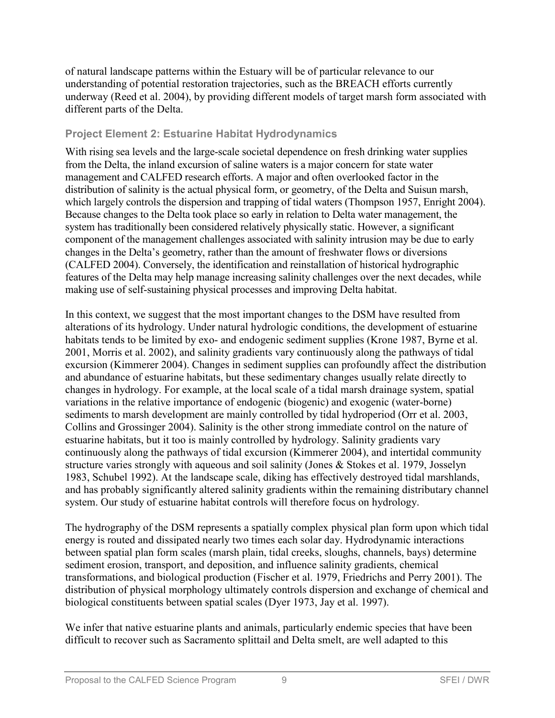of natural landscape patterns within the Estuary will be of particular relevance to our understanding of potential restoration trajectories, such as the BREACH efforts currently underway (Reed et al. 2004), by providing different models of target marsh form associated with different parts of the Delta.

#### **Project Element 2: Estuarine Habitat Hydrodynamics**

With rising sea levels and the large-scale societal dependence on fresh drinking water supplies from the Delta, the inland excursion of saline waters is a major concern for state water management and CALFED research efforts. A major and often overlooked factor in the distribution of salinity is the actual physical form, or geometry, of the Delta and Suisun marsh, which largely controls the dispersion and trapping of tidal waters (Thompson 1957, Enright 2004). Because changes to the Delta took place so early in relation to Delta water management, the system has traditionally been considered relatively physically static. However, a significant component of the management challenges associated with salinity intrusion may be due to early changes in the Delta's geometry, rather than the amount of freshwater flows or diversions (CALFED 2004). Conversely, the identification and reinstallation of historical hydrographic features of the Delta may help manage increasing salinity challenges over the next decades, while making use of self-sustaining physical processes and improving Delta habitat.

In this context, we suggest that the most important changes to the DSM have resulted from alterations of its hydrology. Under natural hydrologic conditions, the development of estuarine habitats tends to be limited by exo- and endogenic sediment supplies (Krone 1987, Byrne et al. 2001, Morris et al. 2002), and salinity gradients vary continuously along the pathways of tidal excursion (Kimmerer 2004). Changes in sediment supplies can profoundly affect the distribution and abundance of estuarine habitats, but these sedimentary changes usually relate directly to changes in hydrology. For example, at the local scale of a tidal marsh drainage system, spatial variations in the relative importance of endogenic (biogenic) and exogenic (water-borne) sediments to marsh development are mainly controlled by tidal hydroperiod (Orr et al. 2003, Collins and Grossinger 2004). Salinity is the other strong immediate control on the nature of estuarine habitats, but it too is mainly controlled by hydrology. Salinity gradients vary continuously along the pathways of tidal excursion (Kimmerer 2004), and intertidal community structure varies strongly with aqueous and soil salinity (Jones & Stokes et al. 1979, Josselyn 1983, Schubel 1992). At the landscape scale, diking has effectively destroyed tidal marshlands, and has probably significantly altered salinity gradients within the remaining distributary channel system. Our study of estuarine habitat controls will therefore focus on hydrology.

The hydrography of the DSM represents a spatially complex physical plan form upon which tidal energy is routed and dissipated nearly two times each solar day. Hydrodynamic interactions between spatial plan form scales (marsh plain, tidal creeks, sloughs, channels, bays) determine sediment erosion, transport, and deposition, and influence salinity gradients, chemical transformations, and biological production (Fischer et al. 1979, Friedrichs and Perry 2001). The distribution of physical morphology ultimately controls dispersion and exchange of chemical and biological constituents between spatial scales (Dyer 1973, Jay et al. 1997).

We infer that native estuarine plants and animals, particularly endemic species that have been difficult to recover such as Sacramento splittail and Delta smelt, are well adapted to this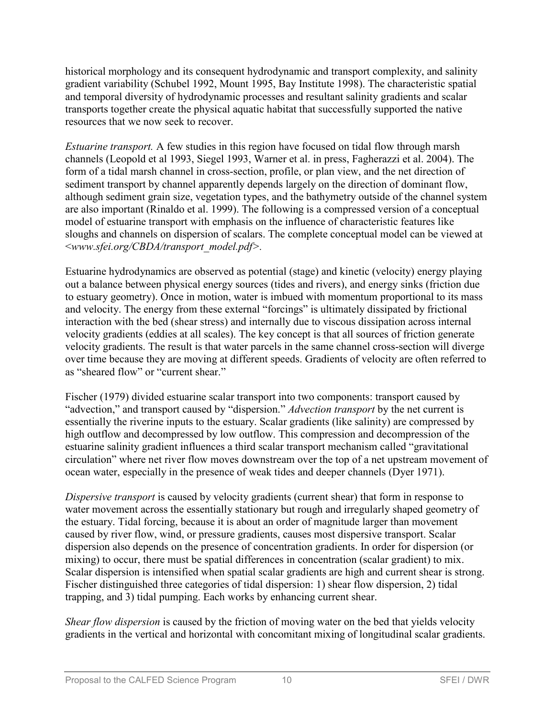historical morphology and its consequent hydrodynamic and transport complexity, and salinity gradient variability (Schubel 1992, Mount 1995, Bay Institute 1998). The characteristic spatial and temporal diversity of hydrodynamic processes and resultant salinity gradients and scalar transports together create the physical aquatic habitat that successfully supported the native resources that we now seek to recover.

*Estuarine transport.* A few studies in this region have focused on tidal flow through marsh channels (Leopold et al 1993, Siegel 1993, Warner et al. in press, Fagherazzi et al. 2004). The form of a tidal marsh channel in cross-section, profile, or plan view, and the net direction of sediment transport by channel apparently depends largely on the direction of dominant flow, although sediment grain size, vegetation types, and the bathymetry outside of the channel system are also important (Rinaldo et al. 1999). The following is a compressed version of a conceptual model of estuarine transport with emphasis on the influence of characteristic features like sloughs and channels on dispersion of scalars. The complete conceptual model can be viewed at <*www.sfei.org/CBDA/transport\_model.pdf>.*

Estuarine hydrodynamics are observed as potential (stage) and kinetic (velocity) energy playing out a balance between physical energy sources (tides and rivers), and energy sinks (friction due to estuary geometry). Once in motion, water is imbued with momentum proportional to its mass and velocity. The energy from these external "forcings" is ultimately dissipated by frictional interaction with the bed (shear stress) and internally due to viscous dissipation across internal velocity gradients (eddies at all scales). The key concept is that all sources of friction generate velocity gradients. The result is that water parcels in the same channel cross-section will diverge over time because they are moving at different speeds. Gradients of velocity are often referred to as "sheared flow" or "current shear."

Fischer (1979) divided estuarine scalar transport into two components: transport caused by "advection," and transport caused by "dispersion." *Advection transport* by the net current is essentially the riverine inputs to the estuary. Scalar gradients (like salinity) are compressed by high outflow and decompressed by low outflow. This compression and decompression of the estuarine salinity gradient influences a third scalar transport mechanism called "gravitational circulation" where net river flow moves downstream over the top of a net upstream movement of ocean water, especially in the presence of weak tides and deeper channels (Dyer 1971).

*Dispersive transport* is caused by velocity gradients (current shear) that form in response to water movement across the essentially stationary but rough and irregularly shaped geometry of the estuary. Tidal forcing, because it is about an order of magnitude larger than movement caused by river flow, wind, or pressure gradients, causes most dispersive transport. Scalar dispersion also depends on the presence of concentration gradients. In order for dispersion (or mixing) to occur, there must be spatial differences in concentration (scalar gradient) to mix. Scalar dispersion is intensified when spatial scalar gradients are high and current shear is strong. Fischer distinguished three categories of tidal dispersion: 1) shear flow dispersion, 2) tidal trapping, and 3) tidal pumping. Each works by enhancing current shear.

*Shear flow dispersion* is caused by the friction of moving water on the bed that yields velocity gradients in the vertical and horizontal with concomitant mixing of longitudinal scalar gradients.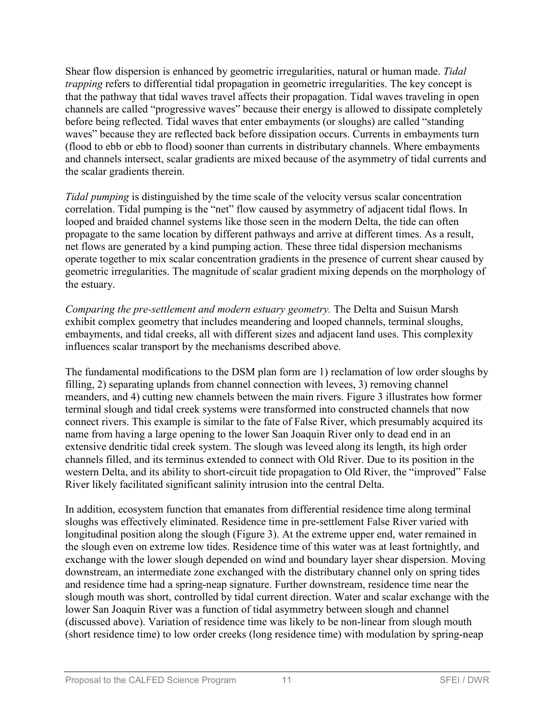Shear flow dispersion is enhanced by geometric irregularities, natural or human made. *Tidal trapping* refers to differential tidal propagation in geometric irregularities. The key concept is that the pathway that tidal waves travel affects their propagation. Tidal waves traveling in open channels are called "progressive waves" because their energy is allowed to dissipate completely before being reflected. Tidal waves that enter embayments (or sloughs) are called "standing waves" because they are reflected back before dissipation occurs. Currents in embayments turn (flood to ebb or ebb to flood) sooner than currents in distributary channels. Where embayments and channels intersect, scalar gradients are mixed because of the asymmetry of tidal currents and the scalar gradients therein.

*Tidal pumping* is distinguished by the time scale of the velocity versus scalar concentration correlation. Tidal pumping is the "net" flow caused by asymmetry of adjacent tidal flows. In looped and braided channel systems like those seen in the modern Delta, the tide can often propagate to the same location by different pathways and arrive at different times. As a result, net flows are generated by a kind pumping action. These three tidal dispersion mechanisms operate together to mix scalar concentration gradients in the presence of current shear caused by geometric irregularities. The magnitude of scalar gradient mixing depends on the morphology of the estuary.

*Comparing the pre-settlement and modern estuary geometry.* The Delta and Suisun Marsh exhibit complex geometry that includes meandering and looped channels, terminal sloughs, embayments, and tidal creeks, all with different sizes and adjacent land uses. This complexity influences scalar transport by the mechanisms described above.

The fundamental modifications to the DSM plan form are 1) reclamation of low order sloughs by filling, 2) separating uplands from channel connection with levees, 3) removing channel meanders, and 4) cutting new channels between the main rivers. Figure 3 illustrates how former terminal slough and tidal creek systems were transformed into constructed channels that now connect rivers. This example is similar to the fate of False River, which presumably acquired its name from having a large opening to the lower San Joaquin River only to dead end in an extensive dendritic tidal creek system. The slough was leveed along its length, its high order channels filled, and its terminus extended to connect with Old River. Due to its position in the western Delta, and its ability to short-circuit tide propagation to Old River, the "improved" False River likely facilitated significant salinity intrusion into the central Delta.

In addition, ecosystem function that emanates from differential residence time along terminal sloughs was effectively eliminated. Residence time in pre-settlement False River varied with longitudinal position along the slough (Figure 3). At the extreme upper end, water remained in the slough even on extreme low tides. Residence time of this water was at least fortnightly, and exchange with the lower slough depended on wind and boundary layer shear dispersion. Moving downstream, an intermediate zone exchanged with the distributary channel only on spring tides and residence time had a spring-neap signature. Further downstream, residence time near the slough mouth was short, controlled by tidal current direction. Water and scalar exchange with the lower San Joaquin River was a function of tidal asymmetry between slough and channel (discussed above). Variation of residence time was likely to be non-linear from slough mouth (short residence time) to low order creeks (long residence time) with modulation by spring-neap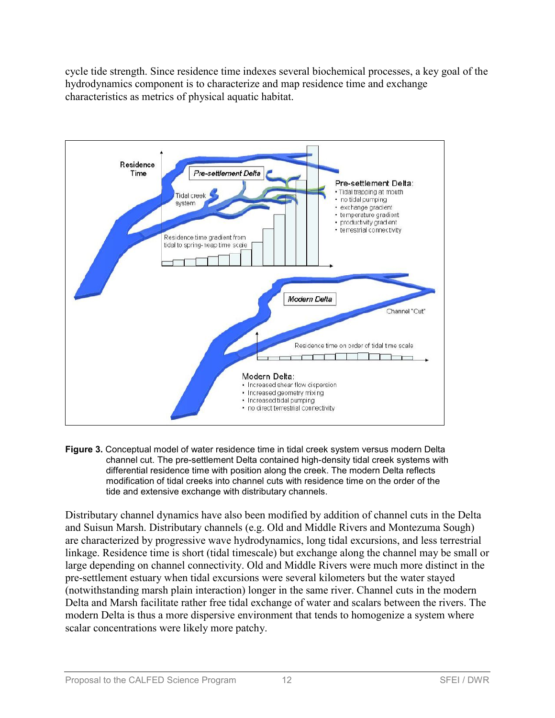cycle tide strength. Since residence time indexes several biochemical processes, a key goal of the hydrodynamics component is to characterize and map residence time and exchange characteristics as metrics of physical aquatic habitat.



**Figure 3.** Conceptual model of water residence time in tidal creek system versus modern Delta channel cut. The pre-settlement Delta contained high-density tidal creek systems with differential residence time with position along the creek. The modern Delta reflects modification of tidal creeks into channel cuts with residence time on the order of the tide and extensive exchange with distributary channels.

Distributary channel dynamics have also been modified by addition of channel cuts in the Delta and Suisun Marsh. Distributary channels (e.g. Old and Middle Rivers and Montezuma Sough) are characterized by progressive wave hydrodynamics, long tidal excursions, and less terrestrial linkage. Residence time is short (tidal timescale) but exchange along the channel may be small or large depending on channel connectivity. Old and Middle Rivers were much more distinct in the pre-settlement estuary when tidal excursions were several kilometers but the water stayed (notwithstanding marsh plain interaction) longer in the same river. Channel cuts in the modern Delta and Marsh facilitate rather free tidal exchange of water and scalars between the rivers. The modern Delta is thus a more dispersive environment that tends to homogenize a system where scalar concentrations were likely more patchy.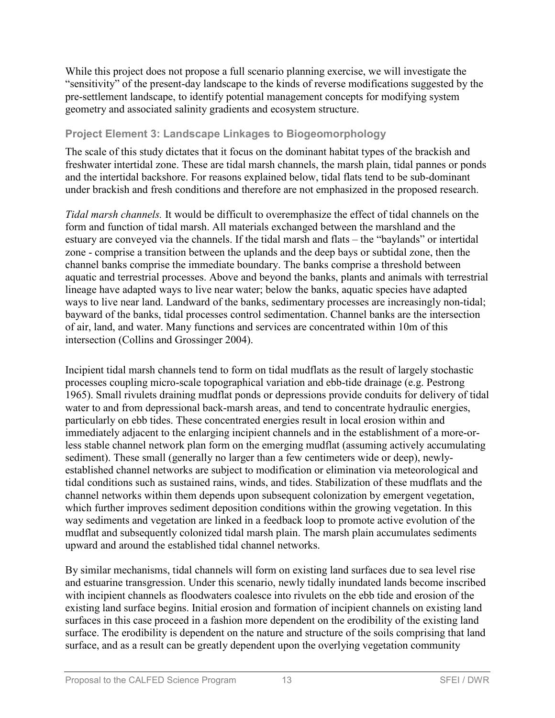While this project does not propose a full scenario planning exercise, we will investigate the "sensitivity" of the present-day landscape to the kinds of reverse modifications suggested by the pre-settlement landscape, to identify potential management concepts for modifying system geometry and associated salinity gradients and ecosystem structure.

### **Project Element 3: Landscape Linkages to Biogeomorphology**

The scale of this study dictates that it focus on the dominant habitat types of the brackish and freshwater intertidal zone. These are tidal marsh channels, the marsh plain, tidal pannes or ponds and the intertidal backshore. For reasons explained below, tidal flats tend to be sub-dominant under brackish and fresh conditions and therefore are not emphasized in the proposed research.

*Tidal marsh channels.* It would be difficult to overemphasize the effect of tidal channels on the form and function of tidal marsh. All materials exchanged between the marshland and the estuary are conveyed via the channels. If the tidal marsh and flats – the "baylands" or intertidal zone - comprise a transition between the uplands and the deep bays or subtidal zone, then the channel banks comprise the immediate boundary. The banks comprise a threshold between aquatic and terrestrial processes. Above and beyond the banks, plants and animals with terrestrial lineage have adapted ways to live near water; below the banks, aquatic species have adapted ways to live near land. Landward of the banks, sedimentary processes are increasingly non-tidal; bayward of the banks, tidal processes control sedimentation. Channel banks are the intersection of air, land, and water. Many functions and services are concentrated within 10m of this intersection (Collins and Grossinger 2004).

Incipient tidal marsh channels tend to form on tidal mudflats as the result of largely stochastic processes coupling micro-scale topographical variation and ebb-tide drainage (e.g. Pestrong 1965). Small rivulets draining mudflat ponds or depressions provide conduits for delivery of tidal water to and from depressional back-marsh areas, and tend to concentrate hydraulic energies, particularly on ebb tides. These concentrated energies result in local erosion within and immediately adjacent to the enlarging incipient channels and in the establishment of a more-orless stable channel network plan form on the emerging mudflat (assuming actively accumulating sediment). These small (generally no larger than a few centimeters wide or deep), newlyestablished channel networks are subject to modification or elimination via meteorological and tidal conditions such as sustained rains, winds, and tides. Stabilization of these mudflats and the channel networks within them depends upon subsequent colonization by emergent vegetation, which further improves sediment deposition conditions within the growing vegetation. In this way sediments and vegetation are linked in a feedback loop to promote active evolution of the mudflat and subsequently colonized tidal marsh plain. The marsh plain accumulates sediments upward and around the established tidal channel networks.

By similar mechanisms, tidal channels will form on existing land surfaces due to sea level rise and estuarine transgression. Under this scenario, newly tidally inundated lands become inscribed with incipient channels as floodwaters coalesce into rivulets on the ebb tide and erosion of the existing land surface begins. Initial erosion and formation of incipient channels on existing land surfaces in this case proceed in a fashion more dependent on the erodibility of the existing land surface. The erodibility is dependent on the nature and structure of the soils comprising that land surface, and as a result can be greatly dependent upon the overlying vegetation community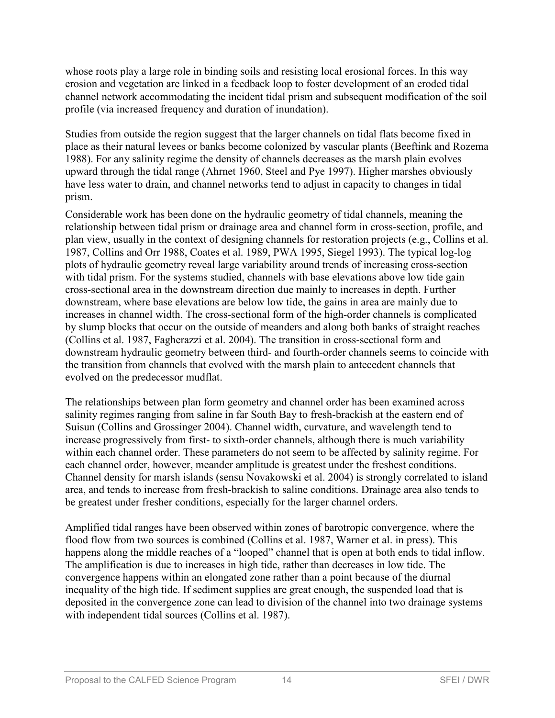whose roots play a large role in binding soils and resisting local erosional forces. In this way erosion and vegetation are linked in a feedback loop to foster development of an eroded tidal channel network accommodating the incident tidal prism and subsequent modification of the soil profile (via increased frequency and duration of inundation).

Studies from outside the region suggest that the larger channels on tidal flats become fixed in place as their natural levees or banks become colonized by vascular plants (Beeftink and Rozema 1988). For any salinity regime the density of channels decreases as the marsh plain evolves upward through the tidal range (Ahrnet 1960, Steel and Pye 1997). Higher marshes obviously have less water to drain, and channel networks tend to adjust in capacity to changes in tidal prism.

Considerable work has been done on the hydraulic geometry of tidal channels, meaning the relationship between tidal prism or drainage area and channel form in cross-section, profile, and plan view, usually in the context of designing channels for restoration projects (e.g., Collins et al. 1987, Collins and Orr 1988, Coates et al. 1989, PWA 1995, Siegel 1993). The typical log-log plots of hydraulic geometry reveal large variability around trends of increasing cross-section with tidal prism. For the systems studied, channels with base elevations above low tide gain cross-sectional area in the downstream direction due mainly to increases in depth. Further downstream, where base elevations are below low tide, the gains in area are mainly due to increases in channel width. The cross-sectional form of the high-order channels is complicated by slump blocks that occur on the outside of meanders and along both banks of straight reaches (Collins et al. 1987, Fagherazzi et al. 2004). The transition in cross-sectional form and downstream hydraulic geometry between third- and fourth-order channels seems to coincide with the transition from channels that evolved with the marsh plain to antecedent channels that evolved on the predecessor mudflat.

The relationships between plan form geometry and channel order has been examined across salinity regimes ranging from saline in far South Bay to fresh-brackish at the eastern end of Suisun (Collins and Grossinger 2004). Channel width, curvature, and wavelength tend to increase progressively from first- to sixth-order channels, although there is much variability within each channel order. These parameters do not seem to be affected by salinity regime. For each channel order, however, meander amplitude is greatest under the freshest conditions. Channel density for marsh islands (sensu Novakowski et al. 2004) is strongly correlated to island area, and tends to increase from fresh-brackish to saline conditions. Drainage area also tends to be greatest under fresher conditions, especially for the larger channel orders.

Amplified tidal ranges have been observed within zones of barotropic convergence, where the flood flow from two sources is combined (Collins et al. 1987, Warner et al. in press). This happens along the middle reaches of a "looped" channel that is open at both ends to tidal inflow. The amplification is due to increases in high tide, rather than decreases in low tide. The convergence happens within an elongated zone rather than a point because of the diurnal inequality of the high tide. If sediment supplies are great enough, the suspended load that is deposited in the convergence zone can lead to division of the channel into two drainage systems with independent tidal sources (Collins et al. 1987).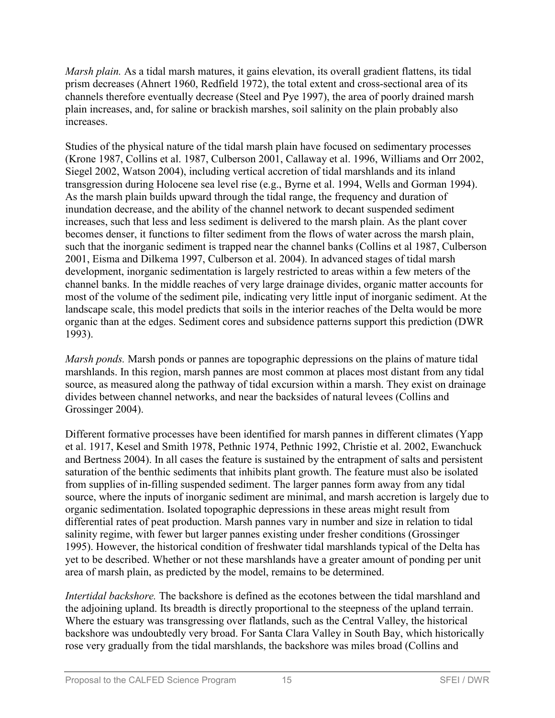*Marsh plain.* As a tidal marsh matures, it gains elevation, its overall gradient flattens, its tidal prism decreases (Ahnert 1960, Redfield 1972), the total extent and cross-sectional area of its channels therefore eventually decrease (Steel and Pye 1997), the area of poorly drained marsh plain increases, and, for saline or brackish marshes, soil salinity on the plain probably also increases.

Studies of the physical nature of the tidal marsh plain have focused on sedimentary processes (Krone 1987, Collins et al. 1987, Culberson 2001, Callaway et al. 1996, Williams and Orr 2002, Siegel 2002, Watson 2004), including vertical accretion of tidal marshlands and its inland transgression during Holocene sea level rise (e.g., Byrne et al. 1994, Wells and Gorman 1994). As the marsh plain builds upward through the tidal range, the frequency and duration of inundation decrease, and the ability of the channel network to decant suspended sediment increases, such that less and less sediment is delivered to the marsh plain. As the plant cover becomes denser, it functions to filter sediment from the flows of water across the marsh plain, such that the inorganic sediment is trapped near the channel banks (Collins et al 1987, Culberson 2001, Eisma and Dilkema 1997, Culberson et al. 2004). In advanced stages of tidal marsh development, inorganic sedimentation is largely restricted to areas within a few meters of the channel banks. In the middle reaches of very large drainage divides, organic matter accounts for most of the volume of the sediment pile, indicating very little input of inorganic sediment. At the landscape scale, this model predicts that soils in the interior reaches of the Delta would be more organic than at the edges. Sediment cores and subsidence patterns support this prediction (DWR 1993).

*Marsh ponds.* Marsh ponds or pannes are topographic depressions on the plains of mature tidal marshlands. In this region, marsh pannes are most common at places most distant from any tidal source, as measured along the pathway of tidal excursion within a marsh. They exist on drainage divides between channel networks, and near the backsides of natural levees (Collins and Grossinger 2004).

Different formative processes have been identified for marsh pannes in different climates (Yapp et al. 1917, Kesel and Smith 1978, Pethnic 1974, Pethnic 1992, Christie et al. 2002, Ewanchuck and Bertness 2004). In all cases the feature is sustained by the entrapment of salts and persistent saturation of the benthic sediments that inhibits plant growth. The feature must also be isolated from supplies of in-filling suspended sediment. The larger pannes form away from any tidal source, where the inputs of inorganic sediment are minimal, and marsh accretion is largely due to organic sedimentation. Isolated topographic depressions in these areas might result from differential rates of peat production. Marsh pannes vary in number and size in relation to tidal salinity regime, with fewer but larger pannes existing under fresher conditions (Grossinger 1995). However, the historical condition of freshwater tidal marshlands typical of the Delta has yet to be described. Whether or not these marshlands have a greater amount of ponding per unit area of marsh plain, as predicted by the model, remains to be determined.

*Intertidal backshore.* The backshore is defined as the ecotones between the tidal marshland and the adjoining upland. Its breadth is directly proportional to the steepness of the upland terrain. Where the estuary was transgressing over flatlands, such as the Central Valley, the historical backshore was undoubtedly very broad. For Santa Clara Valley in South Bay, which historically rose very gradually from the tidal marshlands, the backshore was miles broad (Collins and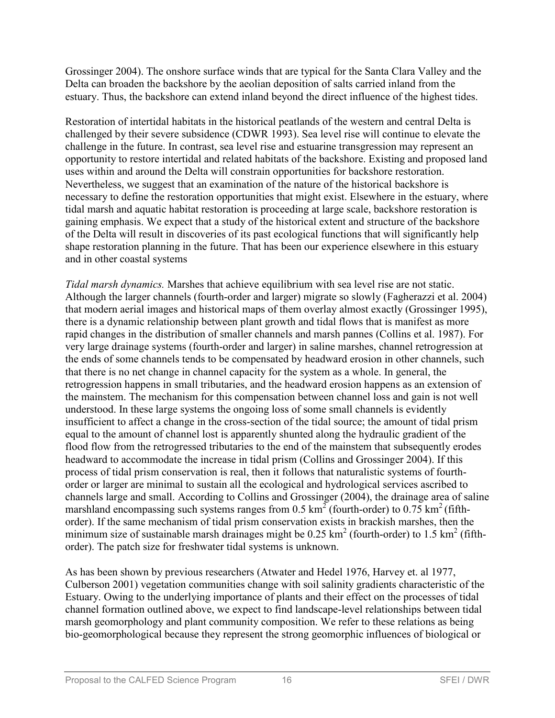Grossinger 2004). The onshore surface winds that are typical for the Santa Clara Valley and the Delta can broaden the backshore by the aeolian deposition of salts carried inland from the estuary. Thus, the backshore can extend inland beyond the direct influence of the highest tides.

Restoration of intertidal habitats in the historical peatlands of the western and central Delta is challenged by their severe subsidence (CDWR 1993). Sea level rise will continue to elevate the challenge in the future. In contrast, sea level rise and estuarine transgression may represent an opportunity to restore intertidal and related habitats of the backshore. Existing and proposed land uses within and around the Delta will constrain opportunities for backshore restoration. Nevertheless, we suggest that an examination of the nature of the historical backshore is necessary to define the restoration opportunities that might exist. Elsewhere in the estuary, where tidal marsh and aquatic habitat restoration is proceeding at large scale, backshore restoration is gaining emphasis. We expect that a study of the historical extent and structure of the backshore of the Delta will result in discoveries of its past ecological functions that will significantly help shape restoration planning in the future. That has been our experience elsewhere in this estuary and in other coastal systems

*Tidal marsh dynamics.* Marshes that achieve equilibrium with sea level rise are not static. Although the larger channels (fourth-order and larger) migrate so slowly (Fagherazzi et al. 2004) that modern aerial images and historical maps of them overlay almost exactly (Grossinger 1995), there is a dynamic relationship between plant growth and tidal flows that is manifest as more rapid changes in the distribution of smaller channels and marsh pannes (Collins et al. 1987). For very large drainage systems (fourth-order and larger) in saline marshes, channel retrogression at the ends of some channels tends to be compensated by headward erosion in other channels, such that there is no net change in channel capacity for the system as a whole. In general, the retrogression happens in small tributaries, and the headward erosion happens as an extension of the mainstem. The mechanism for this compensation between channel loss and gain is not well understood. In these large systems the ongoing loss of some small channels is evidently insufficient to affect a change in the cross-section of the tidal source; the amount of tidal prism equal to the amount of channel lost is apparently shunted along the hydraulic gradient of the flood flow from the retrogressed tributaries to the end of the mainstem that subsequently erodes headward to accommodate the increase in tidal prism (Collins and Grossinger 2004). If this process of tidal prism conservation is real, then it follows that naturalistic systems of fourthorder or larger are minimal to sustain all the ecological and hydrological services ascribed to channels large and small. According to Collins and Grossinger (2004), the drainage area of saline marshland encompassing such systems ranges from  $0.5 \text{ km}^2$  (fourth-order) to  $0.75 \text{ km}^2$  (fifthorder). If the same mechanism of tidal prism conservation exists in brackish marshes, then the minimum size of sustainable marsh drainages might be  $0.25 \text{ km}^2$  (fourth-order) to 1.5 km<sup>2</sup> (fifthorder). The patch size for freshwater tidal systems is unknown.

As has been shown by previous researchers (Atwater and Hedel 1976, Harvey et. al 1977, Culberson 2001) vegetation communities change with soil salinity gradients characteristic of the Estuary. Owing to the underlying importance of plants and their effect on the processes of tidal channel formation outlined above, we expect to find landscape-level relationships between tidal marsh geomorphology and plant community composition. We refer to these relations as being bio-geomorphological because they represent the strong geomorphic influences of biological or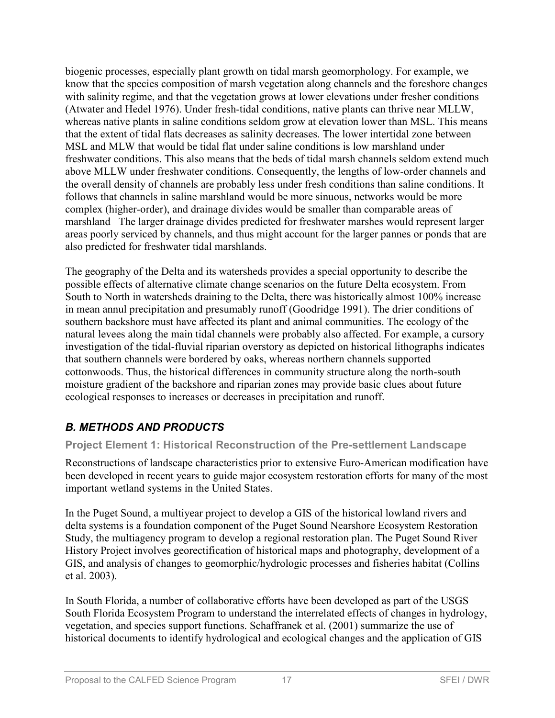biogenic processes, especially plant growth on tidal marsh geomorphology. For example, we know that the species composition of marsh vegetation along channels and the foreshore changes with salinity regime, and that the vegetation grows at lower elevations under fresher conditions (Atwater and Hedel 1976). Under fresh-tidal conditions, native plants can thrive near MLLW, whereas native plants in saline conditions seldom grow at elevation lower than MSL. This means that the extent of tidal flats decreases as salinity decreases. The lower intertidal zone between MSL and MLW that would be tidal flat under saline conditions is low marshland under freshwater conditions. This also means that the beds of tidal marsh channels seldom extend much above MLLW under freshwater conditions. Consequently, the lengths of low-order channels and the overall density of channels are probably less under fresh conditions than saline conditions. It follows that channels in saline marshland would be more sinuous, networks would be more complex (higher-order), and drainage divides would be smaller than comparable areas of marshland The larger drainage divides predicted for freshwater marshes would represent larger areas poorly serviced by channels, and thus might account for the larger pannes or ponds that are also predicted for freshwater tidal marshlands.

The geography of the Delta and its watersheds provides a special opportunity to describe the possible effects of alternative climate change scenarios on the future Delta ecosystem. From South to North in watersheds draining to the Delta, there was historically almost 100% increase in mean annul precipitation and presumably runoff (Goodridge 1991). The drier conditions of southern backshore must have affected its plant and animal communities. The ecology of the natural levees along the main tidal channels were probably also affected. For example, a cursory investigation of the tidal-fluvial riparian overstory as depicted on historical lithographs indicates that southern channels were bordered by oaks, whereas northern channels supported cottonwoods. Thus, the historical differences in community structure along the north-south moisture gradient of the backshore and riparian zones may provide basic clues about future ecological responses to increases or decreases in precipitation and runoff.

## *B. METHODS AND PRODUCTS*

### **Project Element 1: Historical Reconstruction of the Pre-settlement Landscape**

Reconstructions of landscape characteristics prior to extensive Euro-American modification have been developed in recent years to guide major ecosystem restoration efforts for many of the most important wetland systems in the United States.

In the Puget Sound, a multiyear project to develop a GIS of the historical lowland rivers and delta systems is a foundation component of the Puget Sound Nearshore Ecosystem Restoration Study, the multiagency program to develop a regional restoration plan. The Puget Sound River History Project involves georectification of historical maps and photography, development of a GIS, and analysis of changes to geomorphic/hydrologic processes and fisheries habitat (Collins et al. 2003).

In South Florida, a number of collaborative efforts have been developed as part of the USGS South Florida Ecosystem Program to understand the interrelated effects of changes in hydrology, vegetation, and species support functions. Schaffranek et al. (2001) summarize the use of historical documents to identify hydrological and ecological changes and the application of GIS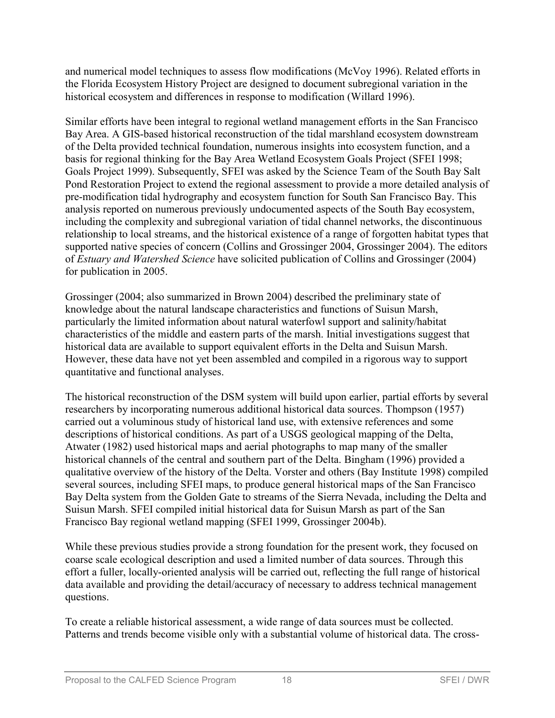and numerical model techniques to assess flow modifications (McVoy 1996). Related efforts in the Florida Ecosystem History Project are designed to document subregional variation in the historical ecosystem and differences in response to modification (Willard 1996).

Similar efforts have been integral to regional wetland management efforts in the San Francisco Bay Area. A GIS-based historical reconstruction of the tidal marshland ecosystem downstream of the Delta provided technical foundation, numerous insights into ecosystem function, and a basis for regional thinking for the Bay Area Wetland Ecosystem Goals Project (SFEI 1998; Goals Project 1999). Subsequently, SFEI was asked by the Science Team of the South Bay Salt Pond Restoration Project to extend the regional assessment to provide a more detailed analysis of pre-modification tidal hydrography and ecosystem function for South San Francisco Bay. This analysis reported on numerous previously undocumented aspects of the South Bay ecosystem, including the complexity and subregional variation of tidal channel networks, the discontinuous relationship to local streams, and the historical existence of a range of forgotten habitat types that supported native species of concern (Collins and Grossinger 2004, Grossinger 2004). The editors of *Estuary and Watershed Science* have solicited publication of Collins and Grossinger (2004) for publication in 2005.

Grossinger (2004; also summarized in Brown 2004) described the preliminary state of knowledge about the natural landscape characteristics and functions of Suisun Marsh, particularly the limited information about natural waterfowl support and salinity/habitat characteristics of the middle and eastern parts of the marsh. Initial investigations suggest that historical data are available to support equivalent efforts in the Delta and Suisun Marsh. However, these data have not yet been assembled and compiled in a rigorous way to support quantitative and functional analyses.

The historical reconstruction of the DSM system will build upon earlier, partial efforts by several researchers by incorporating numerous additional historical data sources. Thompson (1957) carried out a voluminous study of historical land use, with extensive references and some descriptions of historical conditions. As part of a USGS geological mapping of the Delta, Atwater (1982) used historical maps and aerial photographs to map many of the smaller historical channels of the central and southern part of the Delta. Bingham (1996) provided a qualitative overview of the history of the Delta. Vorster and others (Bay Institute 1998) compiled several sources, including SFEI maps, to produce general historical maps of the San Francisco Bay Delta system from the Golden Gate to streams of the Sierra Nevada, including the Delta and Suisun Marsh. SFEI compiled initial historical data for Suisun Marsh as part of the San Francisco Bay regional wetland mapping (SFEI 1999, Grossinger 2004b).

While these previous studies provide a strong foundation for the present work, they focused on coarse scale ecological description and used a limited number of data sources. Through this effort a fuller, locally-oriented analysis will be carried out, reflecting the full range of historical data available and providing the detail/accuracy of necessary to address technical management questions.

To create a reliable historical assessment, a wide range of data sources must be collected. Patterns and trends become visible only with a substantial volume of historical data. The cross-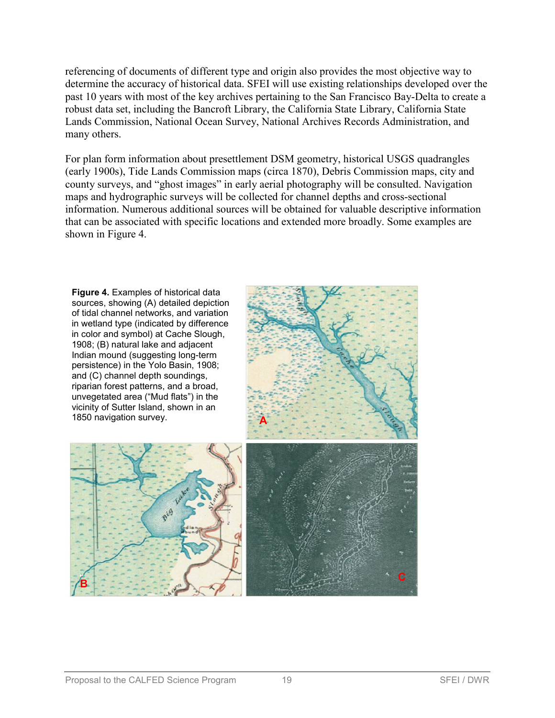referencing of documents of different type and origin also provides the most objective way to determine the accuracy of historical data. SFEI will use existing relationships developed over the past 10 years with most of the key archives pertaining to the San Francisco Bay-Delta to create a robust data set, including the Bancroft Library, the California State Library, California State Lands Commission, National Ocean Survey, National Archives Records Administration, and many others.

For plan form information about presettlement DSM geometry, historical USGS quadrangles (early 1900s), Tide Lands Commission maps (circa 1870), Debris Commission maps, city and county surveys, and "ghost images" in early aerial photography will be consulted. Navigation maps and hydrographic surveys will be collected for channel depths and cross-sectional information. Numerous additional sources will be obtained for valuable descriptive information that can be associated with specific locations and extended more broadly. Some examples are shown in Figure 4.



 $B$  **C**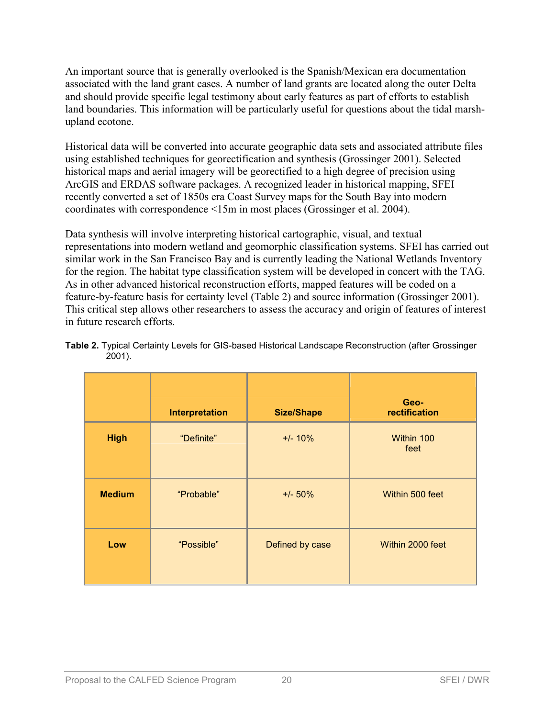An important source that is generally overlooked is the Spanish/Mexican era documentation associated with the land grant cases. A number of land grants are located along the outer Delta and should provide specific legal testimony about early features as part of efforts to establish land boundaries. This information will be particularly useful for questions about the tidal marshupland ecotone.

Historical data will be converted into accurate geographic data sets and associated attribute files using established techniques for georectification and synthesis (Grossinger 2001). Selected historical maps and aerial imagery will be georectified to a high degree of precision using ArcGIS and ERDAS software packages. A recognized leader in historical mapping, SFEI recently converted a set of 1850s era Coast Survey maps for the South Bay into modern coordinates with correspondence <15m in most places (Grossinger et al. 2004).

Data synthesis will involve interpreting historical cartographic, visual, and textual representations into modern wetland and geomorphic classification systems. SFEI has carried out similar work in the San Francisco Bay and is currently leading the National Wetlands Inventory for the region. The habitat type classification system will be developed in concert with the TAG. As in other advanced historical reconstruction efforts, mapped features will be coded on a feature-by-feature basis for certainty level (Table 2) and source information (Grossinger 2001). This critical step allows other researchers to assess the accuracy and origin of features of interest in future research efforts.

|                   | <b>Interpretation</b> | <b>Size/Shape</b> | Geo-<br>rectification |
|-------------------|-----------------------|-------------------|-----------------------|
| <b>High</b>       | "Definite"            | $+/- 10%$         | Within 100<br>feet    |
| <b>Medium</b>     | "Probable"            | $+/- 50%$         | Within 500 feet       |
| Low<br>"Possible" |                       | Defined by case   | Within 2000 feet      |

|           |  |  | Table 2. Typical Certainty Levels for GIS-based Historical Landscape Reconstruction (after Grossinger |  |
|-----------|--|--|-------------------------------------------------------------------------------------------------------|--|
| $2001$ ). |  |  |                                                                                                       |  |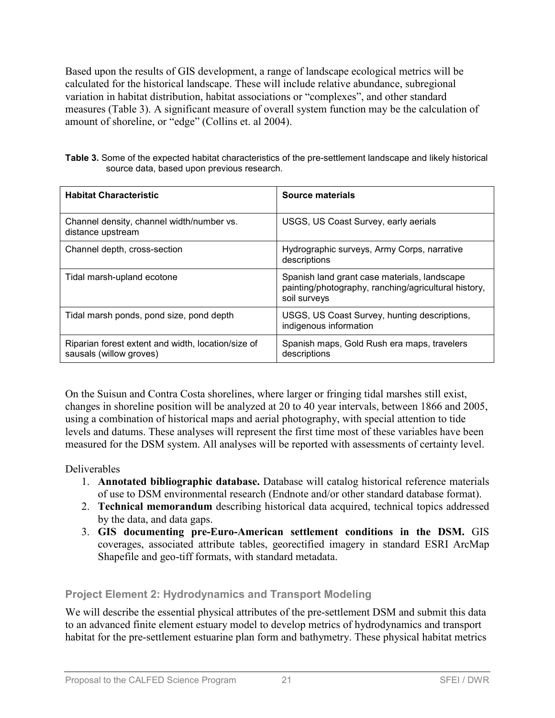Based upon the results of GIS development, a range of landscape ecological metrics will be calculated for the historical landscape. These will include relative abundance, subregional variation in habitat distribution, habitat associations or "complexes", and other standard measures (Table 3). A significant measure of overall system function may be the calculation of amount of shoreline, or "edge" (Collins et. al 2004).

| Table 3. Some of the expected habitat characteristics of the pre-settlement landscape and likely historical |  |
|-------------------------------------------------------------------------------------------------------------|--|
| source data, based upon previous research.                                                                  |  |

| <b>Habitat Characteristic</b>                                                 | Source materials                                                                                                     |
|-------------------------------------------------------------------------------|----------------------------------------------------------------------------------------------------------------------|
| Channel density, channel width/number vs.<br>distance upstream                | USGS, US Coast Survey, early aerials                                                                                 |
| Channel depth, cross-section                                                  | Hydrographic surveys, Army Corps, narrative<br>descriptions                                                          |
| Tidal marsh-upland ecotone                                                    | Spanish land grant case materials, landscape<br>painting/photography, ranching/agricultural history,<br>soil surveys |
| Tidal marsh ponds, pond size, pond depth                                      | USGS, US Coast Survey, hunting descriptions,<br>indigenous information                                               |
| Riparian forest extent and width, location/size of<br>sausals (willow groves) | Spanish maps, Gold Rush era maps, travelers<br>descriptions                                                          |

On the Suisun and Contra Costa shorelines, where larger or fringing tidal marshes still exist, changes in shoreline position will be analyzed at 20 to 40 year intervals, between 1866 and 2005, using a combination of historical maps and aerial photography, with special attention to tide levels and datums. These analyses will represent the first time most of these variables have been measured for the DSM system. All analyses will be reported with assessments of certainty level.

### Deliverables

- 1. **Annotated bibliographic database.** Database will catalog historical reference materials of use to DSM environmental research (Endnote and/or other standard database format).
- 2. **Technical memorandum** describing historical data acquired, technical topics addressed by the data, and data gaps.
- 3. **GIS documenting pre-Euro-American settlement conditions in the DSM.** GIS coverages, associated attribute tables, georectified imagery in standard ESRI ArcMap Shapefile and geo-tiff formats, with standard metadata.

### **Project Element 2: Hydrodynamics and Transport Modeling**

We will describe the essential physical attributes of the pre-settlement DSM and submit this data to an advanced finite element estuary model to develop metrics of hydrodynamics and transport habitat for the pre-settlement estuarine plan form and bathymetry. These physical habitat metrics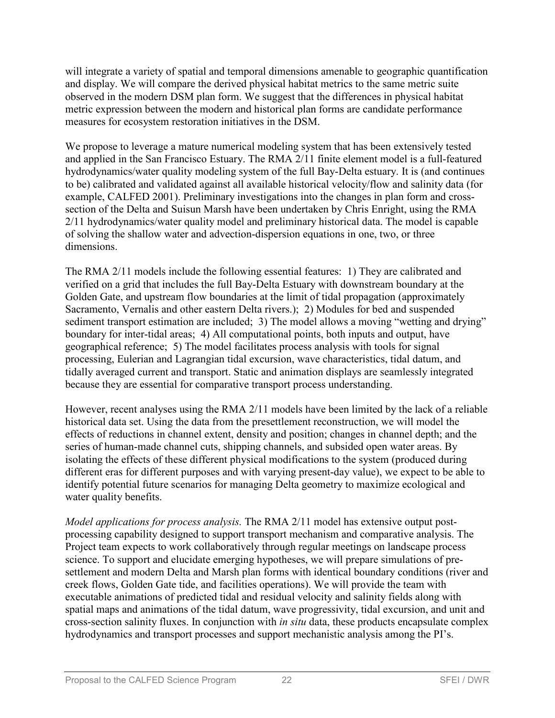will integrate a variety of spatial and temporal dimensions amenable to geographic quantification and display. We will compare the derived physical habitat metrics to the same metric suite observed in the modern DSM plan form. We suggest that the differences in physical habitat metric expression between the modern and historical plan forms are candidate performance measures for ecosystem restoration initiatives in the DSM.

We propose to leverage a mature numerical modeling system that has been extensively tested and applied in the San Francisco Estuary. The RMA 2/11 finite element model is a full-featured hydrodynamics/water quality modeling system of the full Bay-Delta estuary. It is (and continues to be) calibrated and validated against all available historical velocity/flow and salinity data (for example, CALFED 2001). Preliminary investigations into the changes in plan form and crosssection of the Delta and Suisun Marsh have been undertaken by Chris Enright, using the RMA 2/11 hydrodynamics/water quality model and preliminary historical data. The model is capable of solving the shallow water and advection-dispersion equations in one, two, or three dimensions.

The RMA 2/11 models include the following essential features: 1) They are calibrated and verified on a grid that includes the full Bay-Delta Estuary with downstream boundary at the Golden Gate, and upstream flow boundaries at the limit of tidal propagation (approximately Sacramento, Vernalis and other eastern Delta rivers.); 2) Modules for bed and suspended sediment transport estimation are included; 3) The model allows a moving "wetting and drying" boundary for inter-tidal areas; 4) All computational points, both inputs and output, have geographical reference; 5) The model facilitates process analysis with tools for signal processing, Eulerian and Lagrangian tidal excursion, wave characteristics, tidal datum, and tidally averaged current and transport. Static and animation displays are seamlessly integrated because they are essential for comparative transport process understanding.

However, recent analyses using the RMA 2/11 models have been limited by the lack of a reliable historical data set. Using the data from the presettlement reconstruction, we will model the effects of reductions in channel extent, density and position; changes in channel depth; and the series of human-made channel cuts, shipping channels, and subsided open water areas. By isolating the effects of these different physical modifications to the system (produced during different eras for different purposes and with varying present-day value), we expect to be able to identify potential future scenarios for managing Delta geometry to maximize ecological and water quality benefits.

*Model applications for process analysis.* The RMA 2/11 model has extensive output postprocessing capability designed to support transport mechanism and comparative analysis. The Project team expects to work collaboratively through regular meetings on landscape process science. To support and elucidate emerging hypotheses, we will prepare simulations of presettlement and modern Delta and Marsh plan forms with identical boundary conditions (river and creek flows, Golden Gate tide, and facilities operations). We will provide the team with executable animations of predicted tidal and residual velocity and salinity fields along with spatial maps and animations of the tidal datum, wave progressivity, tidal excursion, and unit and cross-section salinity fluxes. In conjunction with *in situ* data, these products encapsulate complex hydrodynamics and transport processes and support mechanistic analysis among the PI's.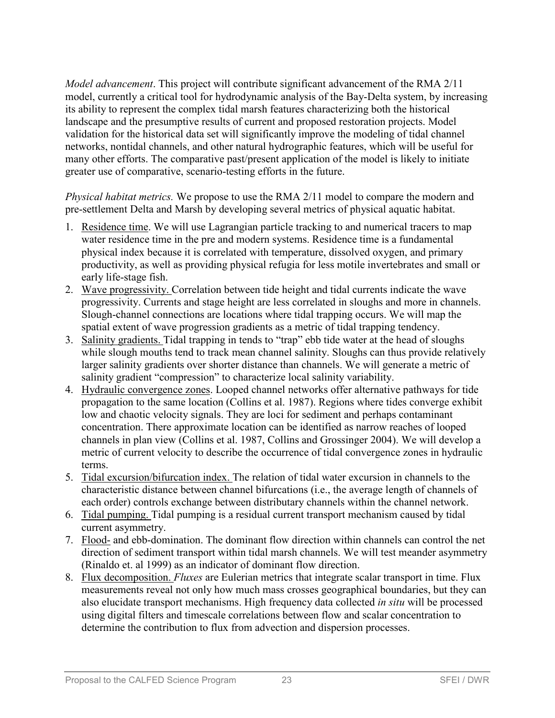*Model advancement*. This project will contribute significant advancement of the RMA 2/11 model, currently a critical tool for hydrodynamic analysis of the Bay-Delta system, by increasing its ability to represent the complex tidal marsh features characterizing both the historical landscape and the presumptive results of current and proposed restoration projects. Model validation for the historical data set will significantly improve the modeling of tidal channel networks, nontidal channels, and other natural hydrographic features, which will be useful for many other efforts. The comparative past/present application of the model is likely to initiate greater use of comparative, scenario-testing efforts in the future.

*Physical habitat metrics.* We propose to use the RMA 2/11 model to compare the modern and pre-settlement Delta and Marsh by developing several metrics of physical aquatic habitat.

- 1. Residence time. We will use Lagrangian particle tracking to and numerical tracers to map water residence time in the pre and modern systems. Residence time is a fundamental physical index because it is correlated with temperature, dissolved oxygen, and primary productivity, as well as providing physical refugia for less motile invertebrates and small or early life-stage fish.
- 2. Wave progressivity. Correlation between tide height and tidal currents indicate the wave progressivity. Currents and stage height are less correlated in sloughs and more in channels. Slough-channel connections are locations where tidal trapping occurs. We will map the spatial extent of wave progression gradients as a metric of tidal trapping tendency.
- 3. Salinity gradients. Tidal trapping in tends to "trap" ebb tide water at the head of sloughs while slough mouths tend to track mean channel salinity. Sloughs can thus provide relatively larger salinity gradients over shorter distance than channels. We will generate a metric of salinity gradient "compression" to characterize local salinity variability.
- 4. Hydraulic convergence zones. Looped channel networks offer alternative pathways for tide propagation to the same location (Collins et al. 1987). Regions where tides converge exhibit low and chaotic velocity signals. They are loci for sediment and perhaps contaminant concentration. There approximate location can be identified as narrow reaches of looped channels in plan view (Collins et al. 1987, Collins and Grossinger 2004). We will develop a metric of current velocity to describe the occurrence of tidal convergence zones in hydraulic terms.
- 5. Tidal excursion/bifurcation index. The relation of tidal water excursion in channels to the characteristic distance between channel bifurcations (i.e., the average length of channels of each order) controls exchange between distributary channels within the channel network.
- 6. Tidal pumping. Tidal pumping is a residual current transport mechanism caused by tidal current asymmetry.
- 7. Flood- and ebb-domination. The dominant flow direction within channels can control the net direction of sediment transport within tidal marsh channels. We will test meander asymmetry (Rinaldo et. al 1999) as an indicator of dominant flow direction.
- 8. Flux decomposition. *Fluxes* are Eulerian metrics that integrate scalar transport in time. Flux measurements reveal not only how much mass crosses geographical boundaries, but they can also elucidate transport mechanisms. High frequency data collected *in situ* will be processed using digital filters and timescale correlations between flow and scalar concentration to determine the contribution to flux from advection and dispersion processes.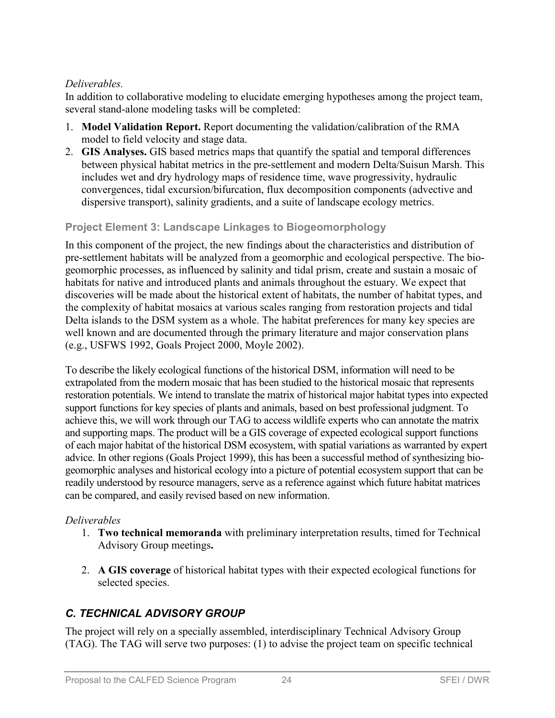### *Deliverables.*

In addition to collaborative modeling to elucidate emerging hypotheses among the project team, several stand-alone modeling tasks will be completed:

- 1. **Model Validation Report.** Report documenting the validation/calibration of the RMA model to field velocity and stage data.
- 2. **GIS Analyses.** GIS based metrics maps that quantify the spatial and temporal differences between physical habitat metrics in the pre-settlement and modern Delta/Suisun Marsh. This includes wet and dry hydrology maps of residence time, wave progressivity, hydraulic convergences, tidal excursion/bifurcation, flux decomposition components (advective and dispersive transport), salinity gradients, and a suite of landscape ecology metrics.

### **Project Element 3: Landscape Linkages to Biogeomorphology**

In this component of the project, the new findings about the characteristics and distribution of pre-settlement habitats will be analyzed from a geomorphic and ecological perspective. The biogeomorphic processes, as influenced by salinity and tidal prism, create and sustain a mosaic of habitats for native and introduced plants and animals throughout the estuary. We expect that discoveries will be made about the historical extent of habitats, the number of habitat types, and the complexity of habitat mosaics at various scales ranging from restoration projects and tidal Delta islands to the DSM system as a whole. The habitat preferences for many key species are well known and are documented through the primary literature and major conservation plans (e.g., USFWS 1992, Goals Project 2000, Moyle 2002).

To describe the likely ecological functions of the historical DSM, information will need to be extrapolated from the modern mosaic that has been studied to the historical mosaic that represents restoration potentials. We intend to translate the matrix of historical major habitat types into expected support functions for key species of plants and animals, based on best professional judgment. To achieve this, we will work through our TAG to access wildlife experts who can annotate the matrix and supporting maps. The product will be a GIS coverage of expected ecological support functions of each major habitat of the historical DSM ecosystem, with spatial variations as warranted by expert advice. In other regions (Goals Project 1999), this has been a successful method of synthesizing biogeomorphic analyses and historical ecology into a picture of potential ecosystem support that can be readily understood by resource managers, serve as a reference against which future habitat matrices can be compared, and easily revised based on new information.

### *Deliverables*

- 1. **Two technical memoranda** with preliminary interpretation results, timed for Technical Advisory Group meetings**.**
- 2. **A GIS coverage** of historical habitat types with their expected ecological functions for selected species.

## *C. TECHNICAL ADVISORY GROUP*

The project will rely on a specially assembled, interdisciplinary Technical Advisory Group (TAG). The TAG will serve two purposes: (1) to advise the project team on specific technical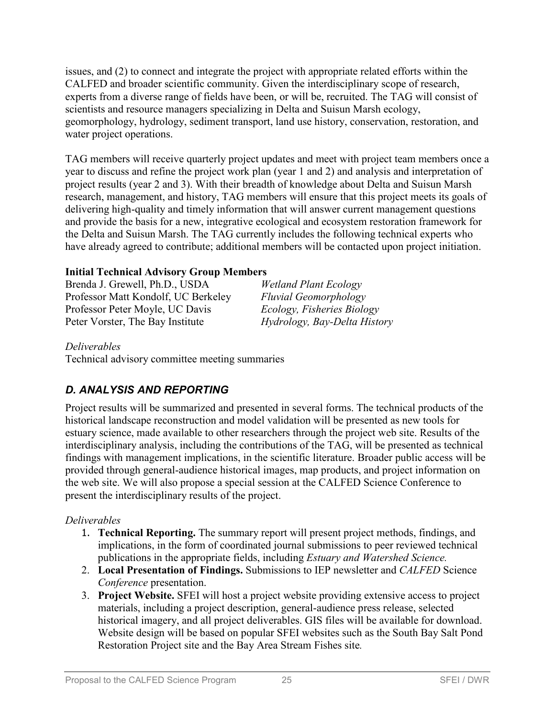issues, and (2) to connect and integrate the project with appropriate related efforts within the CALFED and broader scientific community. Given the interdisciplinary scope of research, experts from a diverse range of fields have been, or will be, recruited. The TAG will consist of scientists and resource managers specializing in Delta and Suisun Marsh ecology, geomorphology, hydrology, sediment transport, land use history, conservation, restoration, and water project operations.

TAG members will receive quarterly project updates and meet with project team members once a year to discuss and refine the project work plan (year 1 and 2) and analysis and interpretation of project results (year 2 and 3). With their breadth of knowledge about Delta and Suisun Marsh research, management, and history, TAG members will ensure that this project meets its goals of delivering high-quality and timely information that will answer current management questions and provide the basis for a new, integrative ecological and ecosystem restoration framework for the Delta and Suisun Marsh. The TAG currently includes the following technical experts who have already agreed to contribute; additional members will be contacted upon project initiation.

### **Initial Technical Advisory Group Members**

Brenda J. Grewell, Ph.D., USDA *Wetland Plant Ecology* Professor Matt Kondolf, UC Berkeley *Fluvial Geomorphology* Professor Peter Moyle, UC Davis *Ecology, Fisheries Biology* Peter Vorster, The Bay Institute *Hydrology, Bay-Delta History*

#### *Deliverables*

Technical advisory committee meeting summaries

## *D. ANALYSIS AND REPORTING*

Project results will be summarized and presented in several forms. The technical products of the historical landscape reconstruction and model validation will be presented as new tools for estuary science, made available to other researchers through the project web site. Results of the interdisciplinary analysis, including the contributions of the TAG, will be presented as technical findings with management implications, in the scientific literature. Broader public access will be provided through general-audience historical images, map products, and project information on the web site. We will also propose a special session at the CALFED Science Conference to present the interdisciplinary results of the project.

### *Deliverables*

- 1. **Technical Reporting.** The summary report will present project methods, findings, and implications, in the form of coordinated journal submissions to peer reviewed technical publications in the appropriate fields, including *Estuary and Watershed Science.*
- 2. **Local Presentation of Findings.** Submissions to IEP newsletter and *CALFED* Science *Conference* presentation.
- 3. **Project Website.** SFEI will host a project website providing extensive access to project materials, including a project description, general-audience press release, selected historical imagery, and all project deliverables. GIS files will be available for download. Website design will be based on popular SFEI websites such as the South Bay Salt Pond Restoration Project site and the Bay Area Stream Fishes site*.*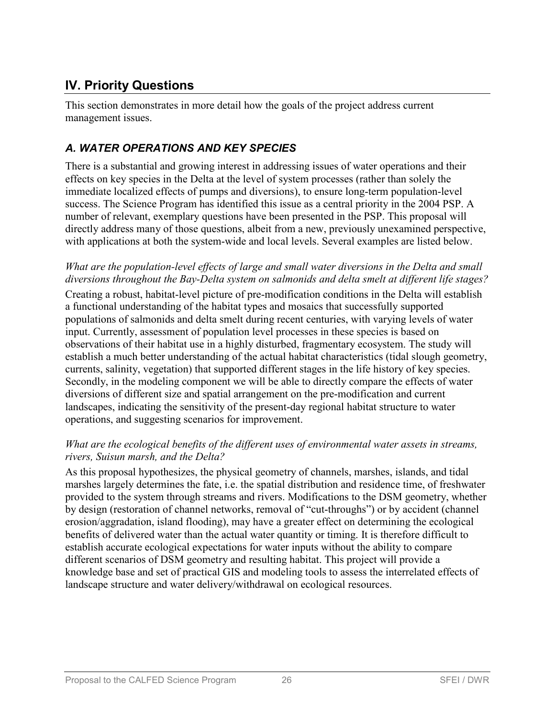# **IV. Priority Questions**

This section demonstrates in more detail how the goals of the project address current management issues.

## *A. WATER OPERATIONS AND KEY SPECIES*

There is a substantial and growing interest in addressing issues of water operations and their effects on key species in the Delta at the level of system processes (rather than solely the immediate localized effects of pumps and diversions), to ensure long-term population-level success. The Science Program has identified this issue as a central priority in the 2004 PSP. A number of relevant, exemplary questions have been presented in the PSP. This proposal will directly address many of those questions, albeit from a new, previously unexamined perspective, with applications at both the system-wide and local levels. Several examples are listed below.

#### *What are the population-level effects of large and small water diversions in the Delta and small diversions throughout the Bay-Delta system on salmonids and delta smelt at different life stages?*

Creating a robust, habitat-level picture of pre-modification conditions in the Delta will establish a functional understanding of the habitat types and mosaics that successfully supported populations of salmonids and delta smelt during recent centuries, with varying levels of water input. Currently, assessment of population level processes in these species is based on observations of their habitat use in a highly disturbed, fragmentary ecosystem. The study will establish a much better understanding of the actual habitat characteristics (tidal slough geometry, currents, salinity, vegetation) that supported different stages in the life history of key species. Secondly, in the modeling component we will be able to directly compare the effects of water diversions of different size and spatial arrangement on the pre-modification and current landscapes, indicating the sensitivity of the present-day regional habitat structure to water operations, and suggesting scenarios for improvement.

#### *What are the ecological benefits of the different uses of environmental water assets in streams, rivers, Suisun marsh, and the Delta?*

As this proposal hypothesizes, the physical geometry of channels, marshes, islands, and tidal marshes largely determines the fate, i.e. the spatial distribution and residence time, of freshwater provided to the system through streams and rivers. Modifications to the DSM geometry, whether by design (restoration of channel networks, removal of "cut-throughs") or by accident (channel erosion/aggradation, island flooding), may have a greater effect on determining the ecological benefits of delivered water than the actual water quantity or timing. It is therefore difficult to establish accurate ecological expectations for water inputs without the ability to compare different scenarios of DSM geometry and resulting habitat. This project will provide a knowledge base and set of practical GIS and modeling tools to assess the interrelated effects of landscape structure and water delivery/withdrawal on ecological resources.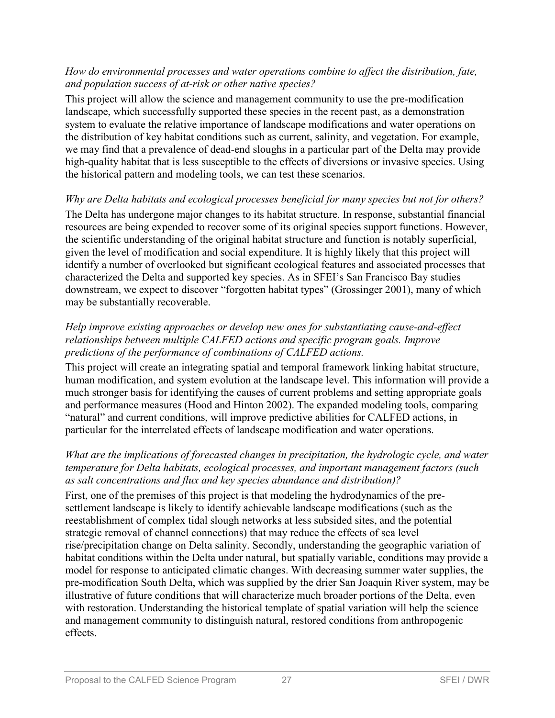#### *How do environmental processes and water operations combine to affect the distribution, fate, and population success of at-risk or other native species?*

This project will allow the science and management community to use the pre-modification landscape, which successfully supported these species in the recent past, as a demonstration system to evaluate the relative importance of landscape modifications and water operations on the distribution of key habitat conditions such as current, salinity, and vegetation. For example, we may find that a prevalence of dead-end sloughs in a particular part of the Delta may provide high-quality habitat that is less susceptible to the effects of diversions or invasive species. Using the historical pattern and modeling tools, we can test these scenarios.

#### *Why are Delta habitats and ecological processes beneficial for many species but not for others?*

The Delta has undergone major changes to its habitat structure. In response, substantial financial resources are being expended to recover some of its original species support functions. However, the scientific understanding of the original habitat structure and function is notably superficial, given the level of modification and social expenditure. It is highly likely that this project will identify a number of overlooked but significant ecological features and associated processes that characterized the Delta and supported key species. As in SFEI's San Francisco Bay studies downstream, we expect to discover "forgotten habitat types" (Grossinger 2001), many of which may be substantially recoverable.

#### *Help improve existing approaches or develop new ones for substantiating cause-and-effect relationships between multiple CALFED actions and specific program goals. Improve predictions of the performance of combinations of CALFED actions.*

This project will create an integrating spatial and temporal framework linking habitat structure, human modification, and system evolution at the landscape level. This information will provide a much stronger basis for identifying the causes of current problems and setting appropriate goals and performance measures (Hood and Hinton 2002). The expanded modeling tools, comparing "natural" and current conditions, will improve predictive abilities for CALFED actions, in particular for the interrelated effects of landscape modification and water operations.

#### *What are the implications of forecasted changes in precipitation, the hydrologic cycle, and water temperature for Delta habitats, ecological processes, and important management factors (such as salt concentrations and flux and key species abundance and distribution)?*

First, one of the premises of this project is that modeling the hydrodynamics of the presettlement landscape is likely to identify achievable landscape modifications (such as the reestablishment of complex tidal slough networks at less subsided sites, and the potential strategic removal of channel connections) that may reduce the effects of sea level rise/precipitation change on Delta salinity. Secondly, understanding the geographic variation of habitat conditions within the Delta under natural, but spatially variable, conditions may provide a model for response to anticipated climatic changes. With decreasing summer water supplies, the pre-modification South Delta, which was supplied by the drier San Joaquin River system, may be illustrative of future conditions that will characterize much broader portions of the Delta, even with restoration. Understanding the historical template of spatial variation will help the science and management community to distinguish natural, restored conditions from anthropogenic effects.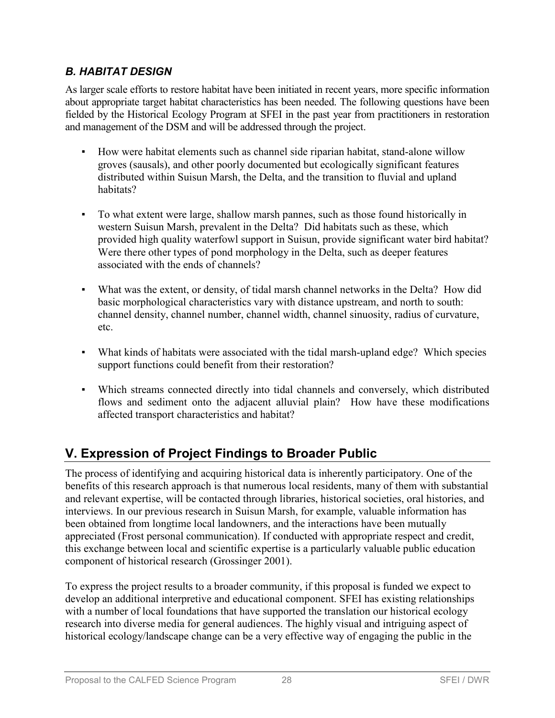## *B. HABITAT DESIGN*

As larger scale efforts to restore habitat have been initiated in recent years, more specific information about appropriate target habitat characteristics has been needed. The following questions have been fielded by the Historical Ecology Program at SFEI in the past year from practitioners in restoration and management of the DSM and will be addressed through the project.

- How were habitat elements such as channel side riparian habitat, stand-alone willow groves (sausals), and other poorly documented but ecologically significant features distributed within Suisun Marsh, the Delta, and the transition to fluvial and upland habitats?
- To what extent were large, shallow marsh pannes, such as those found historically in western Suisun Marsh, prevalent in the Delta? Did habitats such as these, which provided high quality waterfowl support in Suisun, provide significant water bird habitat? Were there other types of pond morphology in the Delta, such as deeper features associated with the ends of channels?
- What was the extent, or density, of tidal marsh channel networks in the Delta? How did basic morphological characteristics vary with distance upstream, and north to south: channel density, channel number, channel width, channel sinuosity, radius of curvature, etc.
- @ What kinds of habitats were associated with the tidal marsh-upland edge? Which species support functions could benefit from their restoration?
- @ Which streams connected directly into tidal channels and conversely, which distributed flows and sediment onto the adjacent alluvial plain? How have these modifications affected transport characteristics and habitat?

# **V. Expression of Project Findings to Broader Public**

The process of identifying and acquiring historical data is inherently participatory. One of the benefits of this research approach is that numerous local residents, many of them with substantial and relevant expertise, will be contacted through libraries, historical societies, oral histories, and interviews. In our previous research in Suisun Marsh, for example, valuable information has been obtained from longtime local landowners, and the interactions have been mutually appreciated (Frost personal communication). If conducted with appropriate respect and credit, this exchange between local and scientific expertise is a particularly valuable public education component of historical research (Grossinger 2001).

To express the project results to a broader community, if this proposal is funded we expect to develop an additional interpretive and educational component. SFEI has existing relationships with a number of local foundations that have supported the translation our historical ecology research into diverse media for general audiences. The highly visual and intriguing aspect of historical ecology/landscape change can be a very effective way of engaging the public in the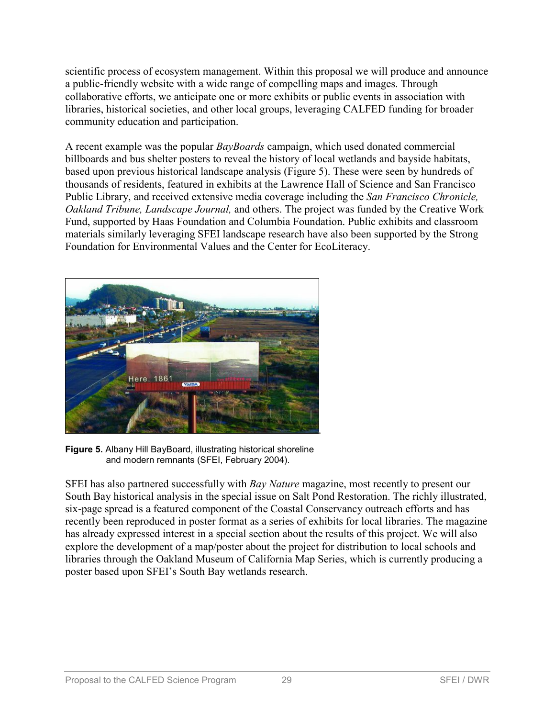scientific process of ecosystem management. Within this proposal we will produce and announce a public-friendly website with a wide range of compelling maps and images. Through collaborative efforts, we anticipate one or more exhibits or public events in association with libraries, historical societies, and other local groups, leveraging CALFED funding for broader community education and participation.

A recent example was the popular *BayBoards* campaign, which used donated commercial billboards and bus shelter posters to reveal the history of local wetlands and bayside habitats, based upon previous historical landscape analysis (Figure 5). These were seen by hundreds of thousands of residents, featured in exhibits at the Lawrence Hall of Science and San Francisco Public Library, and received extensive media coverage including the *San Francisco Chronicle, Oakland Tribune, Landscape Journal,* and others. The project was funded by the Creative Work Fund, supported by Haas Foundation and Columbia Foundation. Public exhibits and classroom materials similarly leveraging SFEI landscape research have also been supported by the Strong Foundation for Environmental Values and the Center for EcoLiteracy.



**Figure 5.** Albany Hill BayBoard, illustrating historical shoreline and modern remnants (SFEI, February 2004).

SFEI has also partnered successfully with *Bay Nature* magazine, most recently to present our South Bay historical analysis in the special issue on Salt Pond Restoration. The richly illustrated, six-page spread is a featured component of the Coastal Conservancy outreach efforts and has recently been reproduced in poster format as a series of exhibits for local libraries. The magazine has already expressed interest in a special section about the results of this project. We will also explore the development of a map/poster about the project for distribution to local schools and libraries through the Oakland Museum of California Map Series, which is currently producing a poster based upon SFEI's South Bay wetlands research.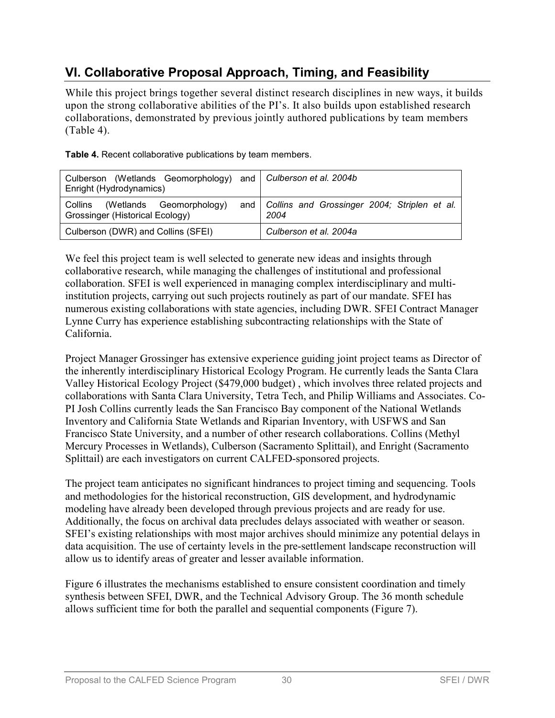# **VI. Collaborative Proposal Approach, Timing, and Feasibility**

While this project brings together several distinct research disciplines in new ways, it builds upon the strong collaborative abilities of the PI's. It also builds upon established research collaborations, demonstrated by previous jointly authored publications by team members (Table 4).

| Culberson (Wetlands Geomorphology) and Culberson et al. 2004b<br>Enright (Hydrodynamics) |  |                                                            |  |  |
|------------------------------------------------------------------------------------------|--|------------------------------------------------------------|--|--|
| (Wetlands Geomorphology)<br>Collins<br>Grossinger (Historical Ecology)                   |  | and   Collins and Grossinger 2004; Striplen et al.<br>2004 |  |  |
| Culberson (DWR) and Collins (SFEI)                                                       |  | Culberson et al. 2004a                                     |  |  |

**Table 4.** Recent collaborative publications by team members.

We feel this project team is well selected to generate new ideas and insights through collaborative research, while managing the challenges of institutional and professional collaboration. SFEI is well experienced in managing complex interdisciplinary and multiinstitution projects, carrying out such projects routinely as part of our mandate. SFEI has numerous existing collaborations with state agencies, including DWR. SFEI Contract Manager Lynne Curry has experience establishing subcontracting relationships with the State of California.

Project Manager Grossinger has extensive experience guiding joint project teams as Director of the inherently interdisciplinary Historical Ecology Program. He currently leads the Santa Clara Valley Historical Ecology Project (\$479,000 budget) , which involves three related projects and collaborations with Santa Clara University, Tetra Tech, and Philip Williams and Associates. Co-PI Josh Collins currently leads the San Francisco Bay component of the National Wetlands Inventory and California State Wetlands and Riparian Inventory, with USFWS and San Francisco State University, and a number of other research collaborations. Collins (Methyl Mercury Processes in Wetlands), Culberson (Sacramento Splittail), and Enright (Sacramento Splittail) are each investigators on current CALFED-sponsored projects.

The project team anticipates no significant hindrances to project timing and sequencing. Tools and methodologies for the historical reconstruction, GIS development, and hydrodynamic modeling have already been developed through previous projects and are ready for use. Additionally, the focus on archival data precludes delays associated with weather or season. SFEI's existing relationships with most major archives should minimize any potential delays in data acquisition. The use of certainty levels in the pre-settlement landscape reconstruction will allow us to identify areas of greater and lesser available information.

Figure 6 illustrates the mechanisms established to ensure consistent coordination and timely synthesis between SFEI, DWR, and the Technical Advisory Group. The 36 month schedule allows sufficient time for both the parallel and sequential components (Figure 7).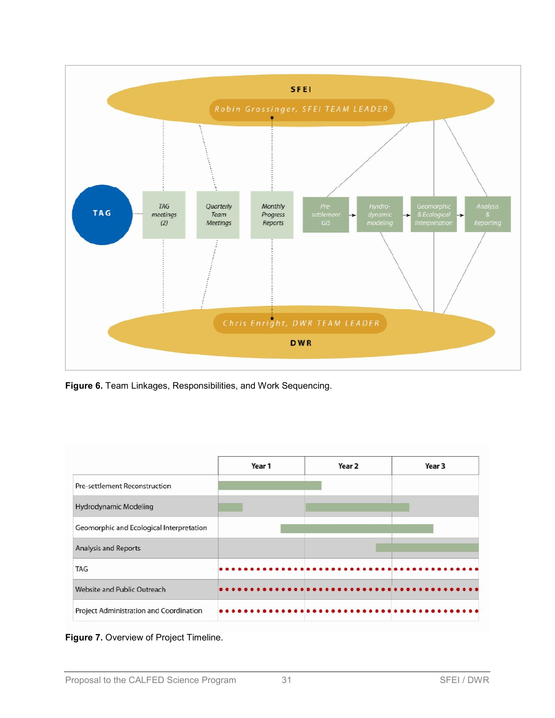

**Figure 6.** Team Linkages, Responsibilities, and Work Sequencing.



**Figure 7.** Overview of Project Timeline.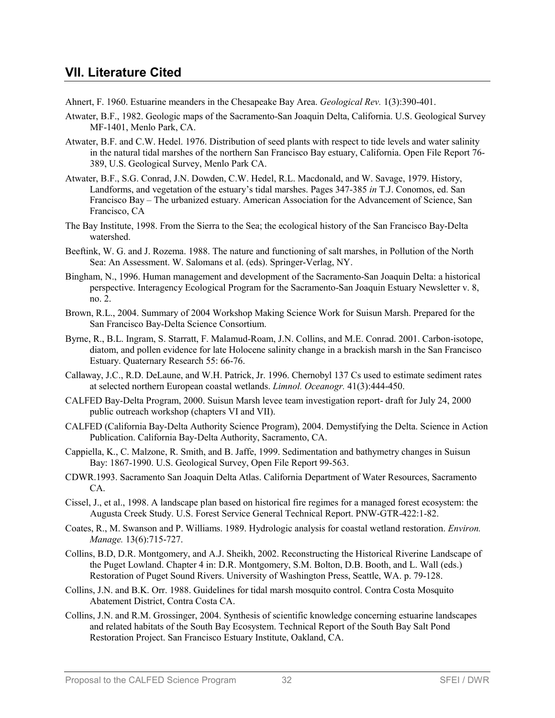### **VII. Literature Cited**

- Ahnert, F. 1960. Estuarine meanders in the Chesapeake Bay Area. *Geological Rev.* 1(3):390-401.
- Atwater, B.F., 1982. Geologic maps of the Sacramento-San Joaquin Delta, California. U.S. Geological Survey MF-1401, Menlo Park, CA.
- Atwater, B.F. and C.W. Hedel. 1976. Distribution of seed plants with respect to tide levels and water salinity in the natural tidal marshes of the northern San Francisco Bay estuary, California. Open File Report 76- 389, U.S. Geological Survey, Menlo Park CA.
- Atwater, B.F., S.G. Conrad, J.N. Dowden, C.W. Hedel, R.L. Macdonald, and W. Savage, 1979. History, Landforms, and vegetation of the estuary's tidal marshes. Pages 347-385 *in* T.J. Conomos, ed. San Francisco Bay – The urbanized estuary. American Association for the Advancement of Science, San Francisco, CA
- The Bay Institute, 1998. From the Sierra to the Sea; the ecological history of the San Francisco Bay-Delta watershed.
- Beeftink, W. G. and J. Rozema. 1988. The nature and functioning of salt marshes, in Pollution of the North Sea: An Assessment. W. Salomans et al. (eds). Springer-Verlag, NY.
- Bingham, N., 1996. Human management and development of the Sacramento-San Joaquin Delta: a historical perspective. Interagency Ecological Program for the Sacramento-San Joaquin Estuary Newsletter v. 8, no. 2.
- Brown, R.L., 2004. Summary of 2004 Workshop Making Science Work for Suisun Marsh. Prepared for the San Francisco Bay-Delta Science Consortium.
- Byrne, R., B.L. Ingram, S. Starratt, F. Malamud-Roam, J.N. Collins, and M.E. Conrad. 2001. Carbon-isotope, diatom, and pollen evidence for late Holocene salinity change in a brackish marsh in the San Francisco Estuary. Quaternary Research 55: 66-76.
- Callaway, J.C., R.D. DeLaune, and W.H. Patrick, Jr. 1996. Chernobyl 137 Cs used to estimate sediment rates at selected northern European coastal wetlands. *Limnol. Oceanogr.* 41(3):444-450.
- CALFED Bay-Delta Program, 2000. Suisun Marsh levee team investigation report- draft for July 24, 2000 public outreach workshop (chapters VI and VII).
- CALFED (California Bay-Delta Authority Science Program), 2004. Demystifying the Delta. Science in Action Publication. California Bay-Delta Authority, Sacramento, CA.
- Cappiella, K., C. Malzone, R. Smith, and B. Jaffe, 1999. Sedimentation and bathymetry changes in Suisun Bay: 1867-1990. U.S. Geological Survey, Open File Report 99-563.
- CDWR.1993. Sacramento San Joaquin Delta Atlas. California Department of Water Resources, Sacramento CA.
- Cissel, J., et al., 1998. A landscape plan based on historical fire regimes for a managed forest ecosystem: the Augusta Creek Study. U.S. Forest Service General Technical Report. PNW-GTR-422:1-82.
- Coates, R., M. Swanson and P. Williams. 1989. Hydrologic analysis for coastal wetland restoration. *Environ. Manage.* 13(6):715-727.
- Collins, B.D, D.R. Montgomery, and A.J. Sheikh, 2002. Reconstructing the Historical Riverine Landscape of the Puget Lowland. Chapter 4 in: D.R. Montgomery, S.M. Bolton, D.B. Booth, and L. Wall (eds.) Restoration of Puget Sound Rivers. University of Washington Press, Seattle, WA. p. 79-128.
- Collins, J.N. and B.K. Orr. 1988. Guidelines for tidal marsh mosquito control. Contra Costa Mosquito Abatement District, Contra Costa CA.
- Collins, J.N. and R.M. Grossinger, 2004. Synthesis of scientific knowledge concerning estuarine landscapes and related habitats of the South Bay Ecosystem. Technical Report of the South Bay Salt Pond Restoration Project. San Francisco Estuary Institute, Oakland, CA.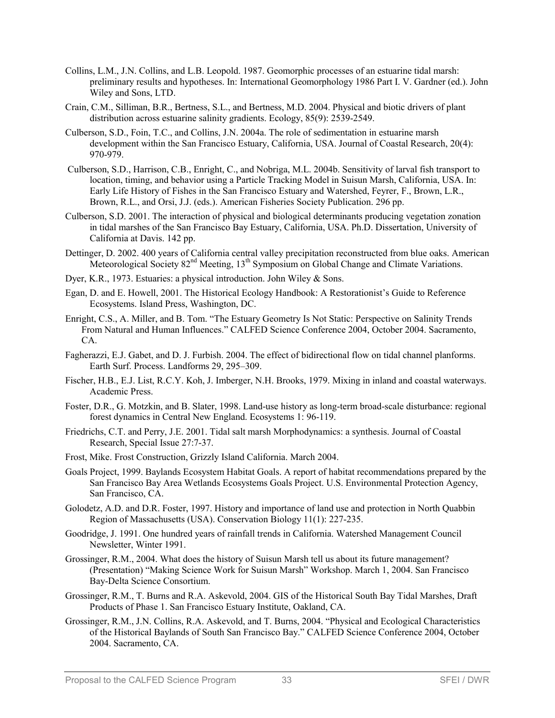- Collins, L.M., J.N. Collins, and L.B. Leopold. 1987. Geomorphic processes of an estuarine tidal marsh: preliminary results and hypotheses. In: International Geomorphology 1986 Part I. V. Gardner (ed.). John Wiley and Sons, LTD.
- Crain, C.M., Silliman, B.R., Bertness, S.L., and Bertness, M.D. 2004. Physical and biotic drivers of plant distribution across estuarine salinity gradients. Ecology, 85(9): 2539-2549.
- Culberson, S.D., Foin, T.C., and Collins, J.N. 2004a. The role of sedimentation in estuarine marsh development within the San Francisco Estuary, California, USA. Journal of Coastal Research, 20(4): 970-979.
- Culberson, S.D., Harrison, C.B., Enright, C., and Nobriga, M.L. 2004b. Sensitivity of larval fish transport to location, timing, and behavior using a Particle Tracking Model in Suisun Marsh, California, USA. In: Early Life History of Fishes in the San Francisco Estuary and Watershed, Feyrer, F., Brown, L.R., Brown, R.L., and Orsi, J.J. (eds.). American Fisheries Society Publication. 296 pp.
- Culberson, S.D. 2001. The interaction of physical and biological determinants producing vegetation zonation in tidal marshes of the San Francisco Bay Estuary, California, USA. Ph.D. Dissertation, University of California at Davis. 142 pp.
- Dettinger, D. 2002. 400 years of California central valley precipitation reconstructed from blue oaks. American Meteorological Society  $82<sup>nd</sup>$  Meeting,  $13<sup>th</sup>$  Symposium on Global Change and Climate Variations.
- Dyer, K.R., 1973. Estuaries: a physical introduction. John Wiley & Sons.
- Egan, D. and E. Howell, 2001. The Historical Ecology Handbook: A Restorationist's Guide to Reference Ecosystems. Island Press, Washington, DC.
- Enright, C.S., A. Miller, and B. Tom. "The Estuary Geometry Is Not Static: Perspective on Salinity Trends From Natural and Human Influences." CALFED Science Conference 2004, October 2004. Sacramento, CA.
- Fagherazzi, E.J. Gabet, and D. J. Furbish. 2004. The effect of bidirectional flow on tidal channel planforms. Earth Surf. Process. Landforms 29, 295–309.
- Fischer, H.B., E.J. List, R.C.Y. Koh, J. Imberger, N.H. Brooks, 1979. Mixing in inland and coastal waterways. Academic Press.
- Foster, D.R., G. Motzkin, and B. Slater, 1998. Land-use history as long-term broad-scale disturbance: regional forest dynamics in Central New England. Ecosystems 1: 96-119.
- Friedrichs, C.T. and Perry, J.E. 2001. Tidal salt marsh Morphodynamics: a synthesis. Journal of Coastal Research, Special Issue 27:7-37.
- Frost, Mike. Frost Construction, Grizzly Island California. March 2004.
- Goals Project, 1999. Baylands Ecosystem Habitat Goals. A report of habitat recommendations prepared by the San Francisco Bay Area Wetlands Ecosystems Goals Project. U.S. Environmental Protection Agency, San Francisco, CA.
- Golodetz, A.D. and D.R. Foster, 1997. History and importance of land use and protection in North Quabbin Region of Massachusetts (USA). Conservation Biology 11(1): 227-235.
- Goodridge, J. 1991. One hundred years of rainfall trends in California. Watershed Management Council Newsletter, Winter 1991.
- Grossinger, R.M., 2004. What does the history of Suisun Marsh tell us about its future management? (Presentation) "Making Science Work for Suisun Marsh" Workshop. March 1, 2004. San Francisco Bay-Delta Science Consortium.
- Grossinger, R.M., T. Burns and R.A. Askevold, 2004. GIS of the Historical South Bay Tidal Marshes, Draft Products of Phase 1. San Francisco Estuary Institute, Oakland, CA.
- Grossinger, R.M., J.N. Collins, R.A. Askevold, and T. Burns, 2004. "Physical and Ecological Characteristics of the Historical Baylands of South San Francisco Bay." CALFED Science Conference 2004, October 2004. Sacramento, CA.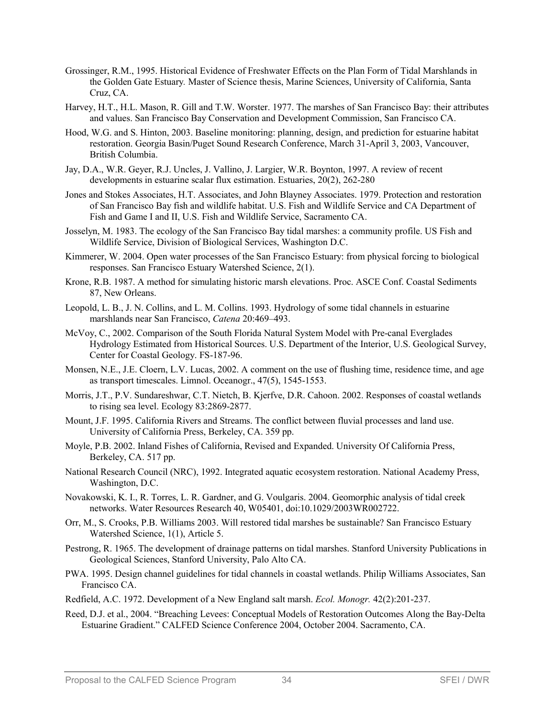- Grossinger, R.M., 1995. Historical Evidence of Freshwater Effects on the Plan Form of Tidal Marshlands in the Golden Gate Estuary*.* Master of Science thesis, Marine Sciences, University of California, Santa Cruz, CA.
- Harvey, H.T., H.L. Mason, R. Gill and T.W. Worster. 1977. The marshes of San Francisco Bay: their attributes and values. San Francisco Bay Conservation and Development Commission, San Francisco CA.
- Hood, W.G. and S. Hinton, 2003. Baseline monitoring: planning, design, and prediction for estuarine habitat restoration. Georgia Basin/Puget Sound Research Conference, March 31-April 3, 2003, Vancouver, British Columbia.
- Jay, D.A., W.R. Geyer, R.J. Uncles, J. Vallino, J. Largier, W.R. Boynton, 1997. A review of recent developments in estuarine scalar flux estimation. Estuaries, 20(2), 262-280
- Jones and Stokes Associates, H.T. Associates, and John Blayney Associates. 1979. Protection and restoration of San Francisco Bay fish and wildlife habitat. U.S. Fish and Wildlife Service and CA Department of Fish and Game I and II, U.S. Fish and Wildlife Service, Sacramento CA.
- Josselyn, M. 1983. The ecology of the San Francisco Bay tidal marshes: a community profile. US Fish and Wildlife Service, Division of Biological Services, Washington D.C.
- Kimmerer, W. 2004. Open water processes of the San Francisco Estuary: from physical forcing to biological responses. San Francisco Estuary Watershed Science, 2(1).
- Krone, R.B. 1987. A method for simulating historic marsh elevations. Proc. ASCE Conf. Coastal Sediments 87, New Orleans.
- Leopold, L. B., J. N. Collins, and L. M. Collins. 1993. Hydrology of some tidal channels in estuarine marshlands near San Francisco, *Catena* 20:469–493.
- McVoy, C., 2002. Comparison of the South Florida Natural System Model with Pre-canal Everglades Hydrology Estimated from Historical Sources. U.S. Department of the Interior, U.S. Geological Survey, Center for Coastal Geology. FS-187-96.
- Monsen, N.E., J.E. Cloern, L.V. Lucas, 2002. A comment on the use of flushing time, residence time, and age as transport timescales. Limnol. Oceanogr., 47(5), 1545-1553.
- Morris, J.T., P.V. Sundareshwar, C.T. Nietch, B. Kjerfve, D.R. Cahoon. 2002. Responses of coastal wetlands to rising sea level. Ecology 83:2869-2877.
- Mount, J.F. 1995. California Rivers and Streams. The conflict between fluvial processes and land use. University of California Press, Berkeley, CA. 359 pp.
- Moyle, P.B. 2002. Inland Fishes of California, Revised and Expanded. University Of California Press, Berkeley, CA. 517 pp.
- National Research Council (NRC), 1992. Integrated aquatic ecosystem restoration. National Academy Press, Washington, D.C.
- Novakowski, K. I., R. Torres, L. R. Gardner, and G. Voulgaris. 2004. Geomorphic analysis of tidal creek networks. Water Resources Research 40, W05401, doi:10.1029/2003WR002722.
- Orr, M., S. Crooks, P.B. Williams 2003. Will restored tidal marshes be sustainable? San Francisco Estuary Watershed Science, 1(1), Article 5.
- Pestrong, R. 1965. The development of drainage patterns on tidal marshes. Stanford University Publications in Geological Sciences, Stanford University, Palo Alto CA.
- PWA. 1995. Design channel guidelines for tidal channels in coastal wetlands. Philip Williams Associates, San Francisco CA.
- Redfield, A.C. 1972. Development of a New England salt marsh. *Ecol. Monogr.* 42(2):201-237.
- Reed, D.J. et al., 2004. "Breaching Levees: Conceptual Models of Restoration Outcomes Along the Bay-Delta Estuarine Gradient." CALFED Science Conference 2004, October 2004. Sacramento, CA.